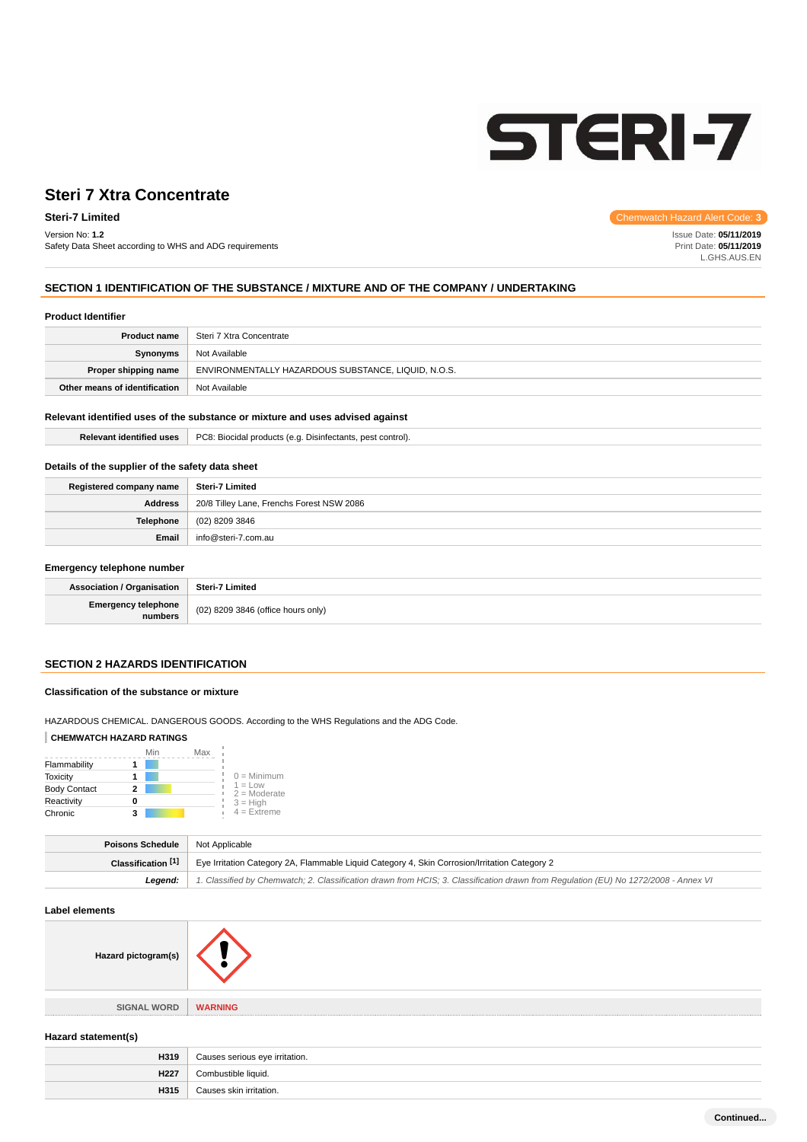

#### Version No: **1.2**

Safety Data Sheet according to WHS and ADG requirements

**Steri-7 Limited** Chemwatch Hazard Alert Code: **3** 

Issue Date: **05/11/2019** Print Date: **05/11/2019** L.GHS.AUS.EN

# **SECTION 1 IDENTIFICATION OF THE SUBSTANCE / MIXTURE AND OF THE COMPANY / UNDERTAKING**

#### **Product Identifier**

| <b>Product name</b>           | Steri 7 Xtra Concentrate                            |  |
|-------------------------------|-----------------------------------------------------|--|
| Synonyms                      | Not Available                                       |  |
| Proper shipping name          | ENVIRONMENTALLY HAZARDOUS SUBSTANCE, LIQUID, N.O.S. |  |
| Other means of identification | Not Available                                       |  |

# **Relevant identified uses of the substance or mixture and uses advised against**

| Relevant<br>t identified uses. | DOO.<br>-<br>contro <sup>n</sup><br>Disinfectants<br>proc<br>cidal<br>iucts (e.d<br>UO. |
|--------------------------------|-----------------------------------------------------------------------------------------|
|                                |                                                                                         |

#### **Details of the supplier of the safety data sheet**

| Registered company name | Steri-7 Limited                           |  |  |
|-------------------------|-------------------------------------------|--|--|
| Address                 | 20/8 Tilley Lane, Frenchs Forest NSW 2086 |  |  |
| Telephone               | $(02)$ 8209 3846                          |  |  |
| Email                   | info@steri-7.com.au                       |  |  |

#### **Emergency telephone number**

| . .                                   |                                    |
|---------------------------------------|------------------------------------|
| <b>Association / Organisation</b>     | Steri-7 Limited                    |
| <b>Emergency telephone</b><br>numbers | (02) 8209 3846 (office hours only) |

# **SECTION 2 HAZARDS IDENTIFICATION**

#### **Classification of the substance or mixture**

HAZARDOUS CHEMICAL. DANGEROUS GOODS. According to the WHS Regulations and the ADG Code.

## **CHEMWATCH HAZARD RATINGS**

|                     | Min | Max |                             |
|---------------------|-----|-----|-----------------------------|
| Flammability        |     |     |                             |
| <b>Toxicity</b>     |     |     | $0 =$ Minimum               |
| <b>Body Contact</b> |     |     | $1 = Low$<br>$2 =$ Moderate |
| Reactivity          |     |     | $3 = High$                  |
| Chronic             | 3   |     | $4$ = Extreme               |

| <b>Poisons Schedule</b> Not Applicable |                                                                                                                                     |  |
|----------------------------------------|-------------------------------------------------------------------------------------------------------------------------------------|--|
|                                        | Classification <sup>[1]</sup> Eve Irritation Category 2A, Flammable Liquid Category 4, Skin Corrosion/Irritation Category 2         |  |
| Leaend:                                | 1. Classified by Chemwatch; 2. Classification drawn from HCIS; 3. Classification drawn from Requlation (EU) No 1272/2008 - Annex VI |  |

#### **Label elements**

| Hazard pictogram(s) |                |
|---------------------|----------------|
|                     |                |
| <b>SIGNAL WORD</b>  | <b>WARNING</b> |

#### **Hazard statement(s)**

| H319 | Causes serious eye irritation. |  |
|------|--------------------------------|--|
| H227 |                                |  |
| H315 | Causes skin irritation.        |  |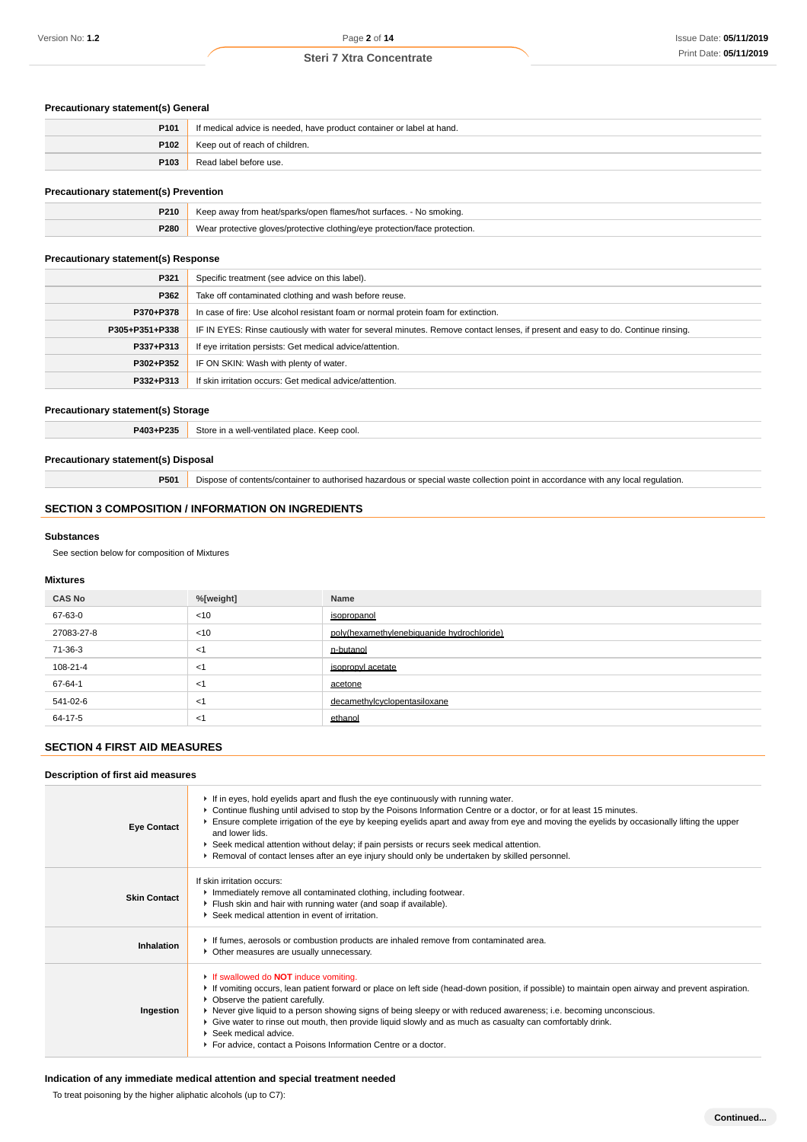## **Precautionary statement(s) General**

| P <sub>101</sub> | If medical advice is needed, have product container or label at hand. |  |
|------------------|-----------------------------------------------------------------------|--|
| P102             | Keep out of reach of children.                                        |  |
| P <sub>103</sub> | Read label before use.                                                |  |

## **Precautionary statement(s) Prevention**

| <b>P210</b> | Keep away from heat/sparks/open flames/hot surfaces. - No smoking.         |  |
|-------------|----------------------------------------------------------------------------|--|
| P280        | Wear protective gloves/protective clothing/eye protection/face protection. |  |

## **Precautionary statement(s) Response**

| P321           | Specific treatment (see advice on this label).                                                                                   |  |  |
|----------------|----------------------------------------------------------------------------------------------------------------------------------|--|--|
| P362           | Take off contaminated clothing and wash before reuse.                                                                            |  |  |
| P370+P378      | In case of fire: Use alcohol resistant foam or normal protein foam for extinction.                                               |  |  |
| P305+P351+P338 | IF IN EYES: Rinse cautiously with water for several minutes. Remove contact lenses, if present and easy to do. Continue rinsing. |  |  |
| P337+P313      | If eye irritation persists: Get medical advice/attention.                                                                        |  |  |
| P302+P352      | IF ON SKIN: Wash with plenty of water.                                                                                           |  |  |
| P332+P313      | If skin irritation occurs: Get medical advice/attention.                                                                         |  |  |

#### **Precautionary statement(s) Storage**

**P403+P235** Store in a well-ventilated place. Keep cool.

#### **Precautionary statement(s) Disposal**

**P501** Dispose of contents/container to authorised hazardous or special waste collection point in accordance with any local regulation.

## **SECTION 3 COMPOSITION / INFORMATION ON INGREDIENTS**

#### **Substances**

See section below for composition of Mixtures

#### **Mixtures**

| <b>CAS No</b> | %[weight] | Name                                       |
|---------------|-----------|--------------------------------------------|
| 67-63-0       | $<$ 10    | isopropanol                                |
| 27083-27-8    | < 10      | poly(hexamethylenebiquanide hydrochloride) |
| 71-36-3       | $<$ 1     | n-butanol                                  |
| 108-21-4      | $<$ 1     | isopropyl acetate                          |
| 67-64-1       | $<$ 1     | acetone                                    |
| 541-02-6      | $<$ 1     | decamethylcyclopentasiloxane               |
| 64-17-5       | <1        | ethanol                                    |

### **SECTION 4 FIRST AID MEASURES**

#### **Description of first aid measures**

| <b>Eye Contact</b>  | If in eyes, hold eyelids apart and flush the eye continuously with running water.<br>► Continue flushing until advised to stop by the Poisons Information Centre or a doctor, or for at least 15 minutes.<br>Ensure complete irrigation of the eye by keeping eyelids apart and away from eye and moving the eyelids by occasionally lifting the upper<br>and lower lids.<br>▶ Seek medical attention without delay; if pain persists or recurs seek medical attention.<br>▶ Removal of contact lenses after an eye injury should only be undertaken by skilled personnel.              |
|---------------------|-----------------------------------------------------------------------------------------------------------------------------------------------------------------------------------------------------------------------------------------------------------------------------------------------------------------------------------------------------------------------------------------------------------------------------------------------------------------------------------------------------------------------------------------------------------------------------------------|
| <b>Skin Contact</b> | If skin irritation occurs:<br>Inmediately remove all contaminated clothing, including footwear.<br>Flush skin and hair with running water (and soap if available).<br>▶ Seek medical attention in event of irritation.                                                                                                                                                                                                                                                                                                                                                                  |
| Inhalation          | If fumes, aerosols or combustion products are inhaled remove from contaminated area.<br>• Other measures are usually unnecessary.                                                                                                                                                                                                                                                                                                                                                                                                                                                       |
| Ingestion           | If swallowed do <b>NOT</b> induce vomiting.<br>If vomiting occurs, lean patient forward or place on left side (head-down position, if possible) to maintain open airway and prevent aspiration.<br>• Observe the patient carefully.<br>▶ Never give liquid to a person showing signs of being sleepy or with reduced awareness; i.e. becoming unconscious.<br>► Give water to rinse out mouth, then provide liquid slowly and as much as casualty can comfortably drink.<br>$\blacktriangleright$ Seek medical advice.<br>For advice, contact a Poisons Information Centre or a doctor. |

# **Indication of any immediate medical attention and special treatment needed**

To treat poisoning by the higher aliphatic alcohols (up to C7):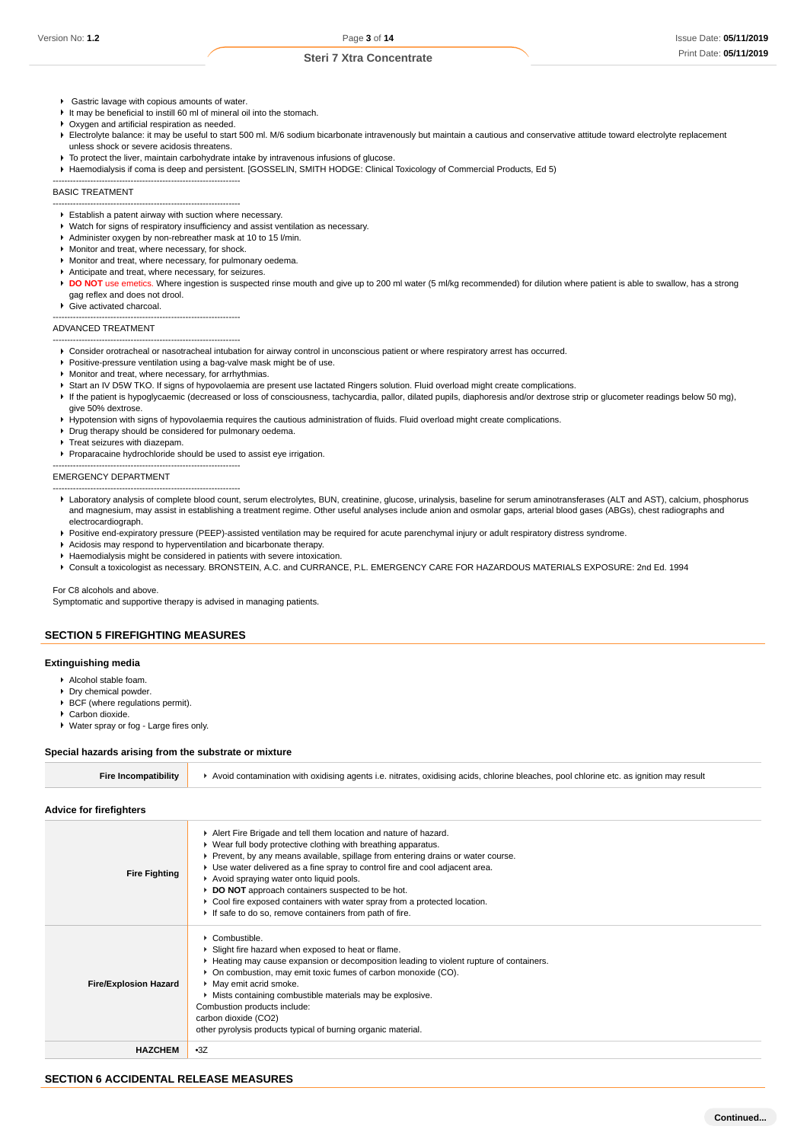Gastric lavage with copious amounts of water.

-----------------------------------------------------------------

-----------------------------------------------------------------

- It may be beneficial to instill 60 ml of mineral oil into the stomach.
- **Oxygen and artificial respiration as needed.**
- Electrolyte balance: it may be useful to start 500 ml. M/6 sodium bicarbonate intravenously but maintain a cautious and conservative attitude toward electrolyte replacement unless shock or severe acidosis threatens.
- $\blacktriangleright$  To protect the liver, maintain carbohydrate intake by intravenous infusions of glucose.
- Haemodialysis if coma is deep and persistent. [GOSSELIN, SMITH HODGE: Clinical Toxicology of Commercial Products, Ed 5)

#### BASIC TREATMENT

- Establish a patent airway with suction where necessary.
- Watch for signs of respiratory insufficiency and assist ventilation as necessary.
- Administer oxygen by non-rebreather mask at 10 to 15 l/min.
- **Monitor and treat, where necessary, for shock.**
- Monitor and treat, where necessary, for pulmonary oedema.
- Anticipate and treat, where necessary, for seizures.
- **DO NOT** use emetics. Where ingestion is suspected rinse mouth and give up to 200 ml water (5 ml/kg recommended) for dilution where patient is able to swallow, has a strong gag reflex and does not drool.
- ▶ Give activated charcoal.

-----------------------------------------------------------------

# ADVANCED TREATMENT

- ----------------------------------------------------------------- Consider orotracheal or nasotracheal intubation for airway control in unconscious patient or where respiratory arrest has occurred.
- **Positive-pressure ventilation using a bag-valve mask might be of use.**
- Monitor and treat, where necessary, for arrhythmias.
- Start an IV D5W TKO. If signs of hypovolaemia are present use lactated Ringers solution. Fluid overload might create complications.
- If the patient is hypoglycaemic (decreased or loss of consciousness, tachycardia, pallor, dilated pupils, diaphoresis and/or dextrose strip or glucometer readings below 50 mg), give 50% dextrose.
- Hypotension with signs of hypovolaemia requires the cautious administration of fluids. Fluid overload might create complications.
- Drug therapy should be considered for pulmonary oedema.
- Treat seizures with diazepam.

-----------------------------------------------------------------

-----------------------------------------------------------------

Proparacaine hydrochloride should be used to assist eye irrigation.

#### EMERGENCY DEPARTMENT

- Laboratory analysis of complete blood count, serum electrolytes, BUN, creatinine, glucose, urinalysis, baseline for serum aminotransferases (ALT and AST), calcium, phosphorus and magnesium, may assist in establishing a treatment regime. Other useful analyses include anion and osmolar gaps, arterial blood gases (ABGs), chest radiographs and electrocardiograph.
- **Positive end-expiratory pressure (PEEP)-assisted ventilation may be required for acute parenchymal injury or adult respiratory distress syndrome.**
- Acidosis may respond to hyperventilation and bicarbonate therapy.
- Haemodialysis might be considered in patients with severe intoxication.
- Consult a toxicologist as necessary. BRONSTEIN, A.C. and CURRANCE, P.L. EMERGENCY CARE FOR HAZARDOUS MATERIALS EXPOSURE: 2nd Ed. 1994

For C8 alcohols and above.

Symptomatic and supportive therapy is advised in managing patients.

#### **SECTION 5 FIREFIGHTING MEASURES**

#### **Extinguishing media**

- Alcohol stable foam.
- **Dry chemical powder.**
- **BCF** (where regulations permit).
- Carbon dioxide.
- Water spray or fog Large fires only.

#### **Special hazards arising from the substrate or mixture**

|  | Avoid contamination with oxidising agents i.e. nitrates, oxidising acids, chlorine bleaches, pool chlorine etc, as ignition may result |
|--|----------------------------------------------------------------------------------------------------------------------------------------|
|--|----------------------------------------------------------------------------------------------------------------------------------------|

**Advice for firefighters**

| <b>Fire Fighting</b>         | Alert Fire Brigade and tell them location and nature of hazard.<br>▶ Wear full body protective clothing with breathing apparatus.<br>▶ Prevent, by any means available, spillage from entering drains or water course.<br>► Use water delivered as a fine spray to control fire and cool adjacent area.<br>Avoid spraying water onto liquid pools.<br>DO NOT approach containers suspected to be hot.<br>► Cool fire exposed containers with water spray from a protected location.<br>If safe to do so, remove containers from path of fire. |
|------------------------------|-----------------------------------------------------------------------------------------------------------------------------------------------------------------------------------------------------------------------------------------------------------------------------------------------------------------------------------------------------------------------------------------------------------------------------------------------------------------------------------------------------------------------------------------------|
| <b>Fire/Explosion Hazard</b> | $\triangleright$ Combustible.<br>▶ Slight fire hazard when exposed to heat or flame.<br>► Heating may cause expansion or decomposition leading to violent rupture of containers.<br>• On combustion, may emit toxic fumes of carbon monoxide (CO).<br>• May emit acrid smoke.<br>• Mists containing combustible materials may be explosive.<br>Combustion products include:<br>carbon dioxide (CO2)<br>other pyrolysis products typical of burning organic material.                                                                          |
| <b>HAZCHEM</b>               | $-3Z$                                                                                                                                                                                                                                                                                                                                                                                                                                                                                                                                         |

#### **SECTION 6 ACCIDENTAL RELEASE MEASURES**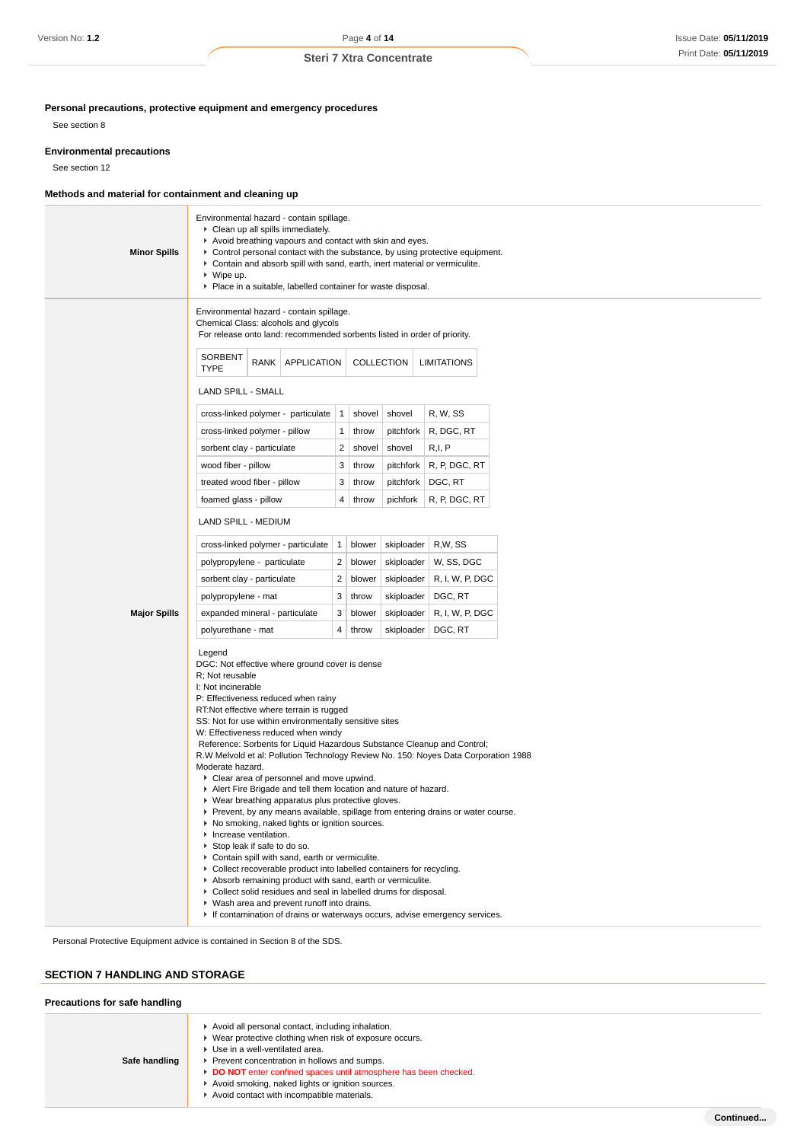**Personal precautions, protective equipment and emergency procedures**

See section 8

#### **Environmental precautions**

See section 12

## **Methods and material for containment and cleaning up**

| <b>Minor Spills</b> | Environmental hazard - contain spillage.<br>Clean up all spills immediately.<br>Avoid breathing vapours and contact with skin and eyes.<br>Control personal contact with the substance, by using protective equipment.<br>Contain and absorb spill with sand, earth, inert material or vermiculite.<br>$\triangleright$ Wipe up.<br>Place in a suitable, labelled container for waste disposal.                                                                                                                                                                                                                                                                                                                                                                                                                                                                                                                                                                                                                                                                                                                                                                                                                                        |              |            |            |                    |  |
|---------------------|----------------------------------------------------------------------------------------------------------------------------------------------------------------------------------------------------------------------------------------------------------------------------------------------------------------------------------------------------------------------------------------------------------------------------------------------------------------------------------------------------------------------------------------------------------------------------------------------------------------------------------------------------------------------------------------------------------------------------------------------------------------------------------------------------------------------------------------------------------------------------------------------------------------------------------------------------------------------------------------------------------------------------------------------------------------------------------------------------------------------------------------------------------------------------------------------------------------------------------------|--------------|------------|------------|--------------------|--|
|                     | Environmental hazard - contain spillage.<br>Chemical Class: alcohols and glycols<br>For release onto land: recommended sorbents listed in order of priority.                                                                                                                                                                                                                                                                                                                                                                                                                                                                                                                                                                                                                                                                                                                                                                                                                                                                                                                                                                                                                                                                           |              |            |            |                    |  |
|                     | SORBENT<br>RANK   APPLICATION<br><b>TYPE</b>                                                                                                                                                                                                                                                                                                                                                                                                                                                                                                                                                                                                                                                                                                                                                                                                                                                                                                                                                                                                                                                                                                                                                                                           |              | COLLECTION |            | <b>LIMITATIONS</b> |  |
|                     | <b>LAND SPILL - SMALL</b>                                                                                                                                                                                                                                                                                                                                                                                                                                                                                                                                                                                                                                                                                                                                                                                                                                                                                                                                                                                                                                                                                                                                                                                                              |              |            |            |                    |  |
|                     | cross-linked polymer - particulate                                                                                                                                                                                                                                                                                                                                                                                                                                                                                                                                                                                                                                                                                                                                                                                                                                                                                                                                                                                                                                                                                                                                                                                                     | $\vert$ 1    | shovel     | shovel     | R, W, SS           |  |
|                     | cross-linked polymer - pillow                                                                                                                                                                                                                                                                                                                                                                                                                                                                                                                                                                                                                                                                                                                                                                                                                                                                                                                                                                                                                                                                                                                                                                                                          | $\mathbf{1}$ | throw      | pitchfork  | R, DGC, RT         |  |
|                     | sorbent clay - particulate                                                                                                                                                                                                                                                                                                                                                                                                                                                                                                                                                                                                                                                                                                                                                                                                                                                                                                                                                                                                                                                                                                                                                                                                             | 2            | shovel     | shovel     | R,I, P             |  |
|                     | wood fiber - pillow                                                                                                                                                                                                                                                                                                                                                                                                                                                                                                                                                                                                                                                                                                                                                                                                                                                                                                                                                                                                                                                                                                                                                                                                                    | 3            | throw      | pitchfork  | R, P, DGC, RT      |  |
|                     | treated wood fiber - pillow                                                                                                                                                                                                                                                                                                                                                                                                                                                                                                                                                                                                                                                                                                                                                                                                                                                                                                                                                                                                                                                                                                                                                                                                            | 3            | throw      | pitchfork  | DGC, RT            |  |
|                     | foamed glass - pillow                                                                                                                                                                                                                                                                                                                                                                                                                                                                                                                                                                                                                                                                                                                                                                                                                                                                                                                                                                                                                                                                                                                                                                                                                  | 4            | throw      | pichfork   | R, P, DGC, RT      |  |
|                     | LAND SPILL - MEDIUM                                                                                                                                                                                                                                                                                                                                                                                                                                                                                                                                                                                                                                                                                                                                                                                                                                                                                                                                                                                                                                                                                                                                                                                                                    |              |            |            |                    |  |
|                     | cross-linked polymer - particulate                                                                                                                                                                                                                                                                                                                                                                                                                                                                                                                                                                                                                                                                                                                                                                                                                                                                                                                                                                                                                                                                                                                                                                                                     | $\mathbf{1}$ | blower     | skiploader | R,W, SS            |  |
|                     | polypropylene - particulate                                                                                                                                                                                                                                                                                                                                                                                                                                                                                                                                                                                                                                                                                                                                                                                                                                                                                                                                                                                                                                                                                                                                                                                                            | 2            | blower     | skiploader | W, SS, DGC         |  |
|                     | sorbent clay - particulate                                                                                                                                                                                                                                                                                                                                                                                                                                                                                                                                                                                                                                                                                                                                                                                                                                                                                                                                                                                                                                                                                                                                                                                                             | 2            | blower     | skiploader | R, I, W, P, DGC    |  |
|                     | polypropylene - mat                                                                                                                                                                                                                                                                                                                                                                                                                                                                                                                                                                                                                                                                                                                                                                                                                                                                                                                                                                                                                                                                                                                                                                                                                    | 3            | throw      | skiploader | DGC, RT            |  |
| <b>Major Spills</b> | expanded mineral - particulate                                                                                                                                                                                                                                                                                                                                                                                                                                                                                                                                                                                                                                                                                                                                                                                                                                                                                                                                                                                                                                                                                                                                                                                                         | 3            | blower     | skiploader | R, I, W, P, DGC    |  |
|                     | polyurethane - mat                                                                                                                                                                                                                                                                                                                                                                                                                                                                                                                                                                                                                                                                                                                                                                                                                                                                                                                                                                                                                                                                                                                                                                                                                     | 4            | throw      | skiploader | DGC, RT            |  |
|                     | Legend<br>DGC: Not effective where ground cover is dense<br>R; Not reusable<br>I: Not incinerable<br>P: Effectiveness reduced when rainy<br>RT:Not effective where terrain is rugged<br>SS: Not for use within environmentally sensitive sites<br>W: Effectiveness reduced when windy<br>Reference: Sorbents for Liquid Hazardous Substance Cleanup and Control;<br>R.W Melvold et al: Pollution Technology Review No. 150: Noyes Data Corporation 1988<br>Moderate hazard.<br>Clear area of personnel and move upwind.<br>Alert Fire Brigade and tell them location and nature of hazard.<br>▶ Wear breathing apparatus plus protective gloves.<br>▶ Prevent, by any means available, spillage from entering drains or water course.<br>▶ No smoking, naked lights or ignition sources.<br>Increase ventilation.<br>Stop leak if safe to do so.<br>Contain spill with sand, earth or vermiculite.<br>Collect recoverable product into labelled containers for recycling.<br>Absorb remaining product with sand, earth or vermiculite.<br>Collect solid residues and seal in labelled drums for disposal.<br>▶ Wash area and prevent runoff into drains.<br>If contamination of drains or waterways occurs, advise emergency services. |              |            |            |                    |  |

Personal Protective Equipment advice is contained in Section 8 of the SDS.

# **SECTION 7 HANDLING AND STORAGE**

## **Precautions for safe handling**

| Safe handling | Avoid all personal contact, including inhalation.<br>Wear protective clothing when risk of exposure occurs.<br>Use in a well-ventilated area.<br>Prevent concentration in hollows and sumps.<br>DO NOT enter confined spaces until atmosphere has been checked.<br>Avoid smoking, naked lights or ignition sources.<br>Avoid contact with incompatible materials. |
|---------------|-------------------------------------------------------------------------------------------------------------------------------------------------------------------------------------------------------------------------------------------------------------------------------------------------------------------------------------------------------------------|
|---------------|-------------------------------------------------------------------------------------------------------------------------------------------------------------------------------------------------------------------------------------------------------------------------------------------------------------------------------------------------------------------|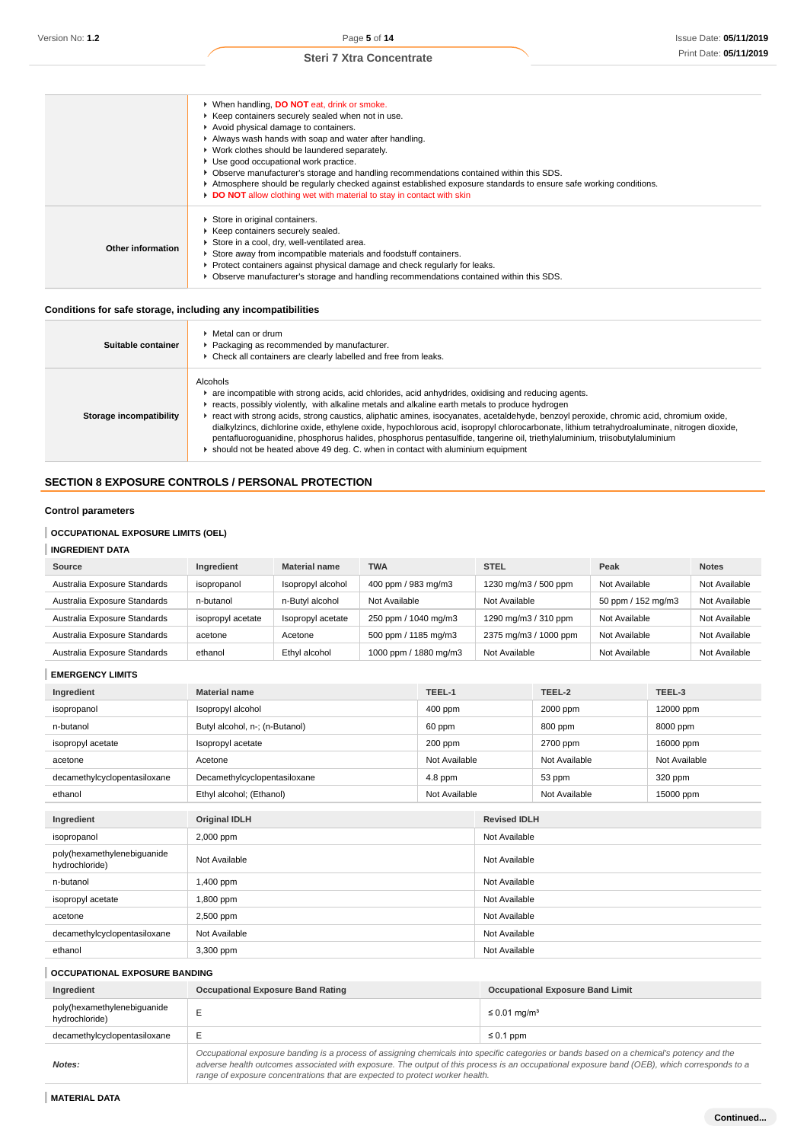|                   | ▶ When handling, DO NOT eat, drink or smoke.                                                                     |
|-------------------|------------------------------------------------------------------------------------------------------------------|
|                   | ▶ Keep containers securely sealed when not in use.                                                               |
|                   | Avoid physical damage to containers.                                                                             |
|                   | Always wash hands with soap and water after handling.                                                            |
|                   | • Work clothes should be laundered separately.                                                                   |
|                   | Use good occupational work practice.                                                                             |
|                   | ▶ Observe manufacturer's storage and handling recommendations contained within this SDS.                         |
|                   | Atmosphere should be regularly checked against established exposure standards to ensure safe working conditions. |
|                   | DO NOT allow clothing wet with material to stay in contact with skin                                             |
|                   | Store in original containers.                                                                                    |
|                   | Keep containers securely sealed.                                                                                 |
|                   | Store in a cool, dry, well-ventilated area.                                                                      |
| Other information | Store away from incompatible materials and foodstuff containers.                                                 |
|                   | ► Protect containers against physical damage and check regularly for leaks.                                      |
|                   | ▶ Observe manufacturer's storage and handling recommendations contained within this SDS.                         |
|                   |                                                                                                                  |

# **Conditions for safe storage, including any incompatibilities**

h

| Suitable container      | Metal can or drum<br>Packaging as recommended by manufacturer.<br>▶ Check all containers are clearly labelled and free from leaks.                                                                                                                                                                                                                                                                                                                                                                                                                                                                                                                                                                                         |
|-------------------------|----------------------------------------------------------------------------------------------------------------------------------------------------------------------------------------------------------------------------------------------------------------------------------------------------------------------------------------------------------------------------------------------------------------------------------------------------------------------------------------------------------------------------------------------------------------------------------------------------------------------------------------------------------------------------------------------------------------------------|
| Storage incompatibility | Alcohols<br>are incompatible with strong acids, acid chlorides, acid anhydrides, oxidising and reducing agents.<br>reacts, possibly violently, with alkaline metals and alkaline earth metals to produce hydrogen<br>react with strong acids, strong caustics, aliphatic amines, isocyanates, acetaldehyde, benzoyl peroxide, chromic acid, chromium oxide,<br>dialkylzincs, dichlorine oxide, ethylene oxide, hypochlorous acid, isopropyl chlorocarbonate, lithium tetrahydroaluminate, nitrogen dioxide,<br>pentafluoroquanidine, phosphorus halides, phosphorus pentasulfide, tangerine oil, triethylaluminium, triisobutylaluminium<br>should not be heated above 49 deg. C. when in contact with aluminium equipment |

# **SECTION 8 EXPOSURE CONTROLS / PERSONAL PROTECTION**

# **Control parameters**

# **OCCUPATIONAL EXPOSURE LIMITS (OEL)**

# **INGREDIENT DATA**

| <b>Source</b>                | Ingredient        | <b>Material name</b> | <b>TWA</b>            | <b>STEL</b>           | Peak               | <b>Notes</b>  |
|------------------------------|-------------------|----------------------|-----------------------|-----------------------|--------------------|---------------|
| Australia Exposure Standards | isopropanol       | Isopropyl alcohol    | 400 ppm / 983 mg/m3   | 1230 mg/m3 / 500 ppm  | Not Available      | Not Available |
| Australia Exposure Standards | n-butanol         | n-Butyl alcohol      | Not Available         | Not Available         | 50 ppm / 152 mg/m3 | Not Available |
| Australia Exposure Standards | isopropyl acetate | Isopropyl acetate    | 250 ppm / 1040 mg/m3  | 1290 mg/m3 / 310 ppm  | Not Available      | Not Available |
| Australia Exposure Standards | acetone           | Acetone              | 500 ppm / 1185 mg/m3  | 2375 mg/m3 / 1000 ppm | Not Available      | Not Available |
| Australia Exposure Standards | ethanol           | Ethyl alcohol        | 1000 ppm / 1880 mg/m3 | Not Available         | Not Available      | Not Available |

## **EMERGENCY LIMITS**

| Ingredient                                    | <b>Material name</b>                      | TEEL-1        |                     | TEEL-2        | TEEL-3        |
|-----------------------------------------------|-------------------------------------------|---------------|---------------------|---------------|---------------|
| isopropanol                                   | Isopropyl alcohol<br>400 ppm              |               |                     | 2000 ppm      | 12000 ppm     |
| n-butanol                                     | Butyl alcohol, n-; (n-Butanol)            | 60 ppm        |                     | 800 ppm       | 8000 ppm      |
| isopropyl acetate                             | Isopropyl acetate                         | 200 ppm       |                     | 2700 ppm      | 16000 ppm     |
| acetone                                       | Acetone                                   | Not Available |                     | Not Available | Not Available |
| decamethylcyclopentasiloxane                  | Decamethylcyclopentasiloxane              | $4.8$ ppm     |                     | 53 ppm        | 320 ppm       |
| ethanol                                       | Ethyl alcohol; (Ethanol)<br>Not Available |               |                     | Not Available | 15000 ppm     |
|                                               |                                           |               |                     |               |               |
| Ingredient                                    | <b>Original IDLH</b>                      |               | <b>Revised IDLH</b> |               |               |
| isopropanol                                   | 2,000 ppm                                 |               | Not Available       |               |               |
| poly(hexamethylenebiguanide<br>hydrochloride) | Not Available                             |               | Not Available       |               |               |
| n-butanol                                     | 1,400 ppm                                 |               | Not Available       |               |               |
| isopropyl acetate                             | 1,800 ppm                                 |               | Not Available       |               |               |
| acetone                                       | 2,500 ppm                                 |               | Not Available       |               |               |
| decamethylcyclopentasiloxane                  | Not Available                             |               | Not Available       |               |               |
| ethanol                                       | 3,300 ppm                                 |               | Not Available       |               |               |

## **OCCUPATIONAL EXPOSURE BANDING**

| Ingredient                                    | <b>Occupational Exposure Band Rating</b>                                                                                                                                                                                                                                                                                                                                 | <b>Occupational Exposure Band Limit</b> |
|-----------------------------------------------|--------------------------------------------------------------------------------------------------------------------------------------------------------------------------------------------------------------------------------------------------------------------------------------------------------------------------------------------------------------------------|-----------------------------------------|
| poly(hexamethylenebiguanide<br>hydrochloride) |                                                                                                                                                                                                                                                                                                                                                                          | $\leq 0.01$ mg/m <sup>3</sup>           |
| decamethylcyclopentasiloxane                  | E                                                                                                                                                                                                                                                                                                                                                                        | $\leq 0.1$ ppm                          |
| Notes:                                        | Occupational exposure banding is a process of assigning chemicals into specific categories or bands based on a chemical's potency and the<br>adverse health outcomes associated with exposure. The output of this process is an occupational exposure band (OEB), which corresponds to a<br>range of exposure concentrations that are expected to protect worker health. |                                         |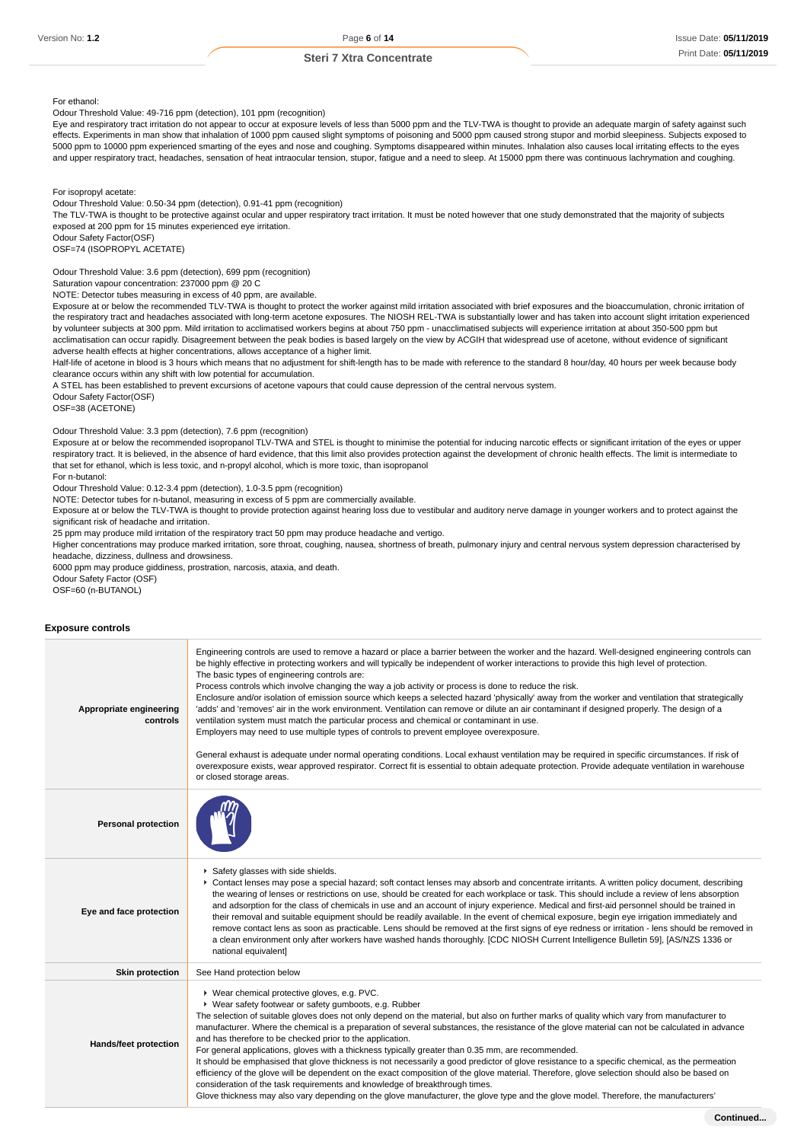For ethanol:

Odour Threshold Value: 49-716 ppm (detection), 101 ppm (recognition)

Eye and respiratory tract irritation do not appear to occur at exposure levels of less than 5000 ppm and the TLV-TWA is thought to provide an adequate margin of safety against such effects. Experiments in man show that inhalation of 1000 ppm caused slight symptoms of poisoning and 5000 ppm caused strong stupor and morbid sleepiness. Subjects exposed to 5000 ppm to 10000 ppm experienced smarting of the eyes and nose and coughing. Symptoms disappeared within minutes. Inhalation also causes local irritating effects to the eyes and upper respiratory tract, headaches, sensation of heat intraocular tension, stupor, fatigue and a need to sleep. At 15000 ppm there was continuous lachrymation and coughing.

For isopropyl acetate:

Odour Threshold Value: 0.50-34 ppm (detection), 0.91-41 ppm (recognition)

The TLV-TWA is thought to be protective against ocular and upper respiratory tract irritation. It must be noted however that one study demonstrated that the majority of subjects exposed at 200 ppm for 15 minutes experienced eye irritation.

Odour Safety Factor(OSF) OSF=74 (ISOPROPYL ACETATE)

Odour Threshold Value: 3.6 ppm (detection), 699 ppm (recognition)

Saturation vapour concentration: 237000 ppm @ 20 C

NOTE: Detector tubes measuring in excess of 40 ppm, are available.

Exposure at or below the recommended TLV-TWA is thought to protect the worker against mild irritation associated with brief exposures and the bioaccumulation, chronic irritation of the respiratory tract and headaches associated with long-term acetone exposures. The NIOSH REL-TWA is substantially lower and has taken into account slight irritation experienced by volunteer subjects at 300 ppm. Mild irritation to acclimatised workers begins at about 750 ppm - unacclimatised subjects will experience irritation at about 350-500 ppm but acclimatisation can occur rapidly. Disagreement between the peak bodies is based largely on the view by ACGIH that widespread use of acetone, without evidence of significant adverse health effects at higher concentrations, allows acceptance of a higher limit.

Half-life of acetone in blood is 3 hours which means that no adjustment for shift-length has to be made with reference to the standard 8 hour/day, 40 hours per week because body clearance occurs within any shift with low potential for accumulation.

A STEL has been established to prevent excursions of acetone vapours that could cause depression of the central nervous system.

Odour Safety Factor(OSF)

OSF=38 (ACETONE)

Odour Threshold Value: 3.3 ppm (detection), 7.6 ppm (recognition)

Exposure at or below the recommended isopropanol TLV-TWA and STEL is thought to minimise the potential for inducing narcotic effects or significant irritation of the eyes or upper respiratory tract. It is believed, in the absence of hard evidence, that this limit also provides protection against the development of chronic health effects. The limit is intermediate to that set for ethanol, which is less toxic, and n-propyl alcohol, which is more toxic, than isopropanol

For n-butanol:

Odour Threshold Value: 0.12-3.4 ppm (detection), 1.0-3.5 ppm (recognition)

NOTE: Detector tubes for n-butanol, measuring in excess of 5 ppm are commercially available.

Exposure at or below the TLV-TWA is thought to provide protection against hearing loss due to vestibular and auditory nerve damage in younger workers and to protect against the significant risk of headache and irritation.

25 ppm may produce mild irritation of the respiratory tract 50 ppm may produce headache and vertigo.

Higher concentrations may produce marked irritation, sore throat, coughing, nausea, shortness of breath, pulmonary injury and central nervous system depression characterised by headache, dizziness, dullness and drowsiness.

6000 ppm may produce giddiness, prostration, narcosis, ataxia, and death.

Odour Safety Factor (OSF) OSF=60 (n-BUTANOL)

#### **Exposure controls**

| Appropriate engineering<br>controls | Engineering controls are used to remove a hazard or place a barrier between the worker and the hazard. Well-designed engineering controls can<br>be highly effective in protecting workers and will typically be independent of worker interactions to provide this high level of protection.<br>The basic types of engineering controls are:<br>Process controls which involve changing the way a job activity or process is done to reduce the risk.<br>Enclosure and/or isolation of emission source which keeps a selected hazard 'physically' away from the worker and ventilation that strategically<br>'adds' and 'removes' air in the work environment. Ventilation can remove or dilute an air contaminant if designed properly. The design of a<br>ventilation system must match the particular process and chemical or contaminant in use.<br>Employers may need to use multiple types of controls to prevent employee overexposure.<br>General exhaust is adequate under normal operating conditions. Local exhaust ventilation may be required in specific circumstances. If risk of<br>overexposure exists, wear approved respirator. Correct fit is essential to obtain adequate protection. Provide adequate ventilation in warehouse<br>or closed storage areas. |
|-------------------------------------|-----------------------------------------------------------------------------------------------------------------------------------------------------------------------------------------------------------------------------------------------------------------------------------------------------------------------------------------------------------------------------------------------------------------------------------------------------------------------------------------------------------------------------------------------------------------------------------------------------------------------------------------------------------------------------------------------------------------------------------------------------------------------------------------------------------------------------------------------------------------------------------------------------------------------------------------------------------------------------------------------------------------------------------------------------------------------------------------------------------------------------------------------------------------------------------------------------------------------------------------------------------------------------------|
| <b>Personal protection</b>          |                                                                                                                                                                                                                                                                                                                                                                                                                                                                                                                                                                                                                                                                                                                                                                                                                                                                                                                                                                                                                                                                                                                                                                                                                                                                                   |
| Eye and face protection             | Safety glasses with side shields.<br>▶ Contact lenses may pose a special hazard; soft contact lenses may absorb and concentrate irritants. A written policy document, describing<br>the wearing of lenses or restrictions on use, should be created for each workplace or task. This should include a review of lens absorption<br>and adsorption for the class of chemicals in use and an account of injury experience. Medical and first-aid personnel should be trained in<br>their removal and suitable equipment should be readily available. In the event of chemical exposure, begin eye irrigation immediately and<br>remove contact lens as soon as practicable. Lens should be removed at the first signs of eye redness or irritation - lens should be removed in<br>a clean environment only after workers have washed hands thoroughly. [CDC NIOSH Current Intelligence Bulletin 59], [AS/NZS 1336 or<br>national equivalent]                                                                                                                                                                                                                                                                                                                                        |
| <b>Skin protection</b>              | See Hand protection below                                                                                                                                                                                                                                                                                                                                                                                                                                                                                                                                                                                                                                                                                                                                                                                                                                                                                                                                                                                                                                                                                                                                                                                                                                                         |
| Hands/feet protection               | ▶ Wear chemical protective gloves, e.g. PVC.<br>▶ Wear safety footwear or safety gumboots, e.g. Rubber<br>The selection of suitable gloves does not only depend on the material, but also on further marks of quality which vary from manufacturer to<br>manufacturer. Where the chemical is a preparation of several substances, the resistance of the glove material can not be calculated in advance<br>and has therefore to be checked prior to the application.<br>For general applications, gloves with a thickness typically greater than 0.35 mm, are recommended.<br>It should be emphasised that glove thickness is not necessarily a good predictor of glove resistance to a specific chemical, as the permeation<br>efficiency of the glove will be dependent on the exact composition of the glove material. Therefore, glove selection should also be based on<br>consideration of the task requirements and knowledge of breakthrough times.<br>Glove thickness may also vary depending on the glove manufacturer, the glove type and the glove model. Therefore, the manufacturers'                                                                                                                                                                               |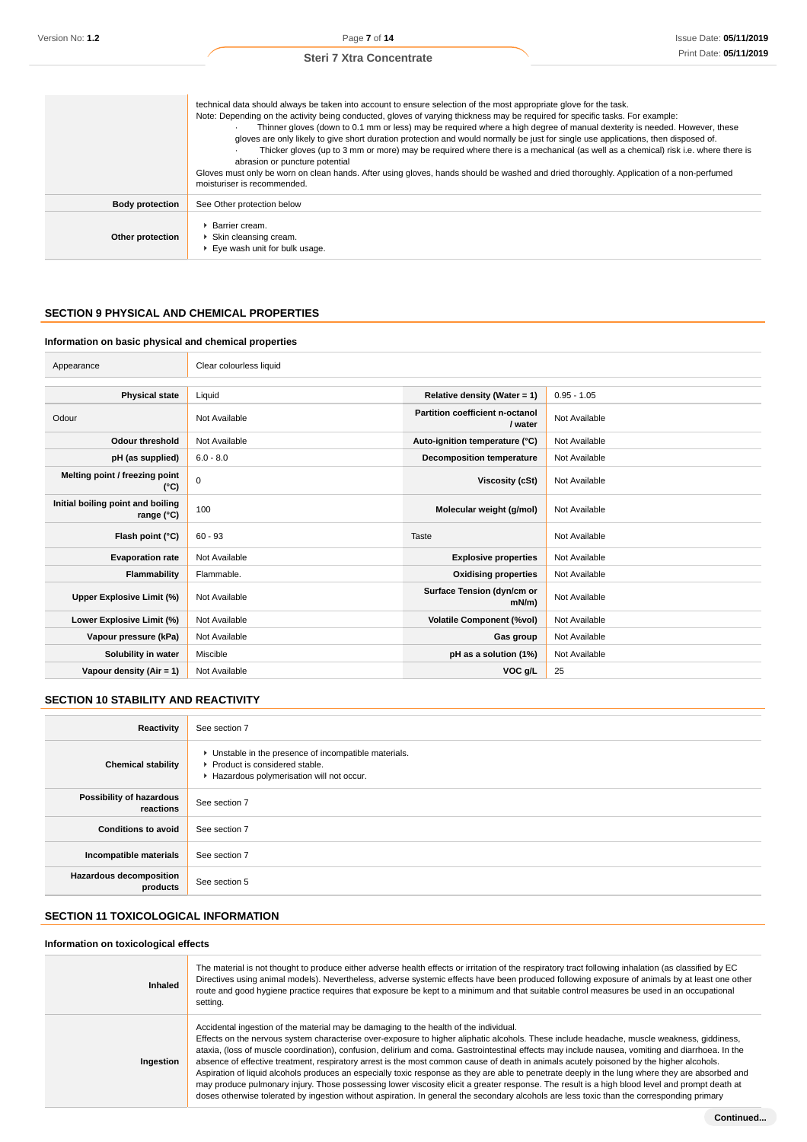|                        | technical data should always be taken into account to ensure selection of the most appropriate glove for the task.<br>Note: Depending on the activity being conducted, gloves of varying thickness may be required for specific tasks. For example:<br>Thinner gloves (down to 0.1 mm or less) may be required where a high degree of manual dexterity is needed. However, these<br>gloves are only likely to give short duration protection and would normally be just for single use applications, then disposed of.<br>Thicker gloves (up to 3 mm or more) may be required where there is a mechanical (as well as a chemical) risk i.e. where there is<br>abrasion or puncture potential<br>Gloves must only be worn on clean hands. After using gloves, hands should be washed and dried thoroughly. Application of a non-perfumed<br>moisturiser is recommended. |
|------------------------|------------------------------------------------------------------------------------------------------------------------------------------------------------------------------------------------------------------------------------------------------------------------------------------------------------------------------------------------------------------------------------------------------------------------------------------------------------------------------------------------------------------------------------------------------------------------------------------------------------------------------------------------------------------------------------------------------------------------------------------------------------------------------------------------------------------------------------------------------------------------|
| <b>Body protection</b> | See Other protection below                                                                                                                                                                                                                                                                                                                                                                                                                                                                                                                                                                                                                                                                                                                                                                                                                                             |
| Other protection       | ▶ Barrier cream.<br>▶ Skin cleansing cream.<br>Eve wash unit for bulk usage.                                                                                                                                                                                                                                                                                                                                                                                                                                                                                                                                                                                                                                                                                                                                                                                           |

## **SECTION 9 PHYSICAL AND CHEMICAL PROPERTIES**

#### **Information on basic physical and chemical properties**

| Appearance                                      | Clear colourless liquid |                                            |               |
|-------------------------------------------------|-------------------------|--------------------------------------------|---------------|
|                                                 |                         |                                            |               |
| <b>Physical state</b>                           | Liquid                  | Relative density (Water = 1)               | $0.95 - 1.05$ |
| Odour                                           | Not Available           | Partition coefficient n-octanol<br>/ water | Not Available |
| <b>Odour threshold</b>                          | Not Available           | Auto-ignition temperature (°C)             | Not Available |
| pH (as supplied)                                | $6.0 - 8.0$             | <b>Decomposition temperature</b>           | Not Available |
| Melting point / freezing point<br>(°C)          | $\mathbf 0$             | Viscosity (cSt)                            | Not Available |
| Initial boiling point and boiling<br>range (°C) | 100                     | Molecular weight (g/mol)                   | Not Available |
| Flash point (°C)                                | $60 - 93$               | Taste                                      | Not Available |
| <b>Evaporation rate</b>                         | Not Available           | <b>Explosive properties</b>                | Not Available |
| Flammability                                    | Flammable.              | <b>Oxidising properties</b>                | Not Available |
| Upper Explosive Limit (%)                       | Not Available           | Surface Tension (dyn/cm or<br>$mN/m$ )     | Not Available |
| Lower Explosive Limit (%)                       | Not Available           | <b>Volatile Component (%vol)</b>           | Not Available |
| Vapour pressure (kPa)                           | Not Available           | Gas group                                  | Not Available |
| Solubility in water                             | Miscible                | pH as a solution (1%)                      | Not Available |
| Vapour density $(Air = 1)$                      | Not Available           | VOC g/L                                    | 25            |

# **SECTION 10 STABILITY AND REACTIVITY**

| Reactivity                            | See section 7                                                                                                                        |
|---------------------------------------|--------------------------------------------------------------------------------------------------------------------------------------|
| <b>Chemical stability</b>             | • Unstable in the presence of incompatible materials.<br>▶ Product is considered stable.<br>Hazardous polymerisation will not occur. |
| Possibility of hazardous<br>reactions | See section 7                                                                                                                        |
| <b>Conditions to avoid</b>            | See section 7                                                                                                                        |
| Incompatible materials                | See section 7                                                                                                                        |
| Hazardous decomposition<br>products   | See section 5                                                                                                                        |

# **SECTION 11 TOXICOLOGICAL INFORMATION**

#### **Information on toxicological effects**

| <b>Inhaled</b> | The material is not thought to produce either adverse health effects or irritation of the respiratory tract following inhalation (as classified by EC<br>Directives using animal models). Nevertheless, adverse systemic effects have been produced following exposure of animals by at least one other<br>route and good hygiene practice requires that exposure be kept to a minimum and that suitable control measures be used in an occupational<br>setting.                                                                                                                                                                                                                                                                                                                                                                                                                                                                                                                        |
|----------------|-----------------------------------------------------------------------------------------------------------------------------------------------------------------------------------------------------------------------------------------------------------------------------------------------------------------------------------------------------------------------------------------------------------------------------------------------------------------------------------------------------------------------------------------------------------------------------------------------------------------------------------------------------------------------------------------------------------------------------------------------------------------------------------------------------------------------------------------------------------------------------------------------------------------------------------------------------------------------------------------|
| Ingestion      | Accidental ingestion of the material may be damaging to the health of the individual.<br>Effects on the nervous system characterise over-exposure to higher aliphatic alcohols. These include headache, muscle weakness, giddiness,<br>ataxia, (loss of muscle coordination), confusion, delirium and coma. Gastrointestinal effects may include nausea, vomiting and diarrhoea. In the<br>absence of effective treatment, respiratory arrest is the most common cause of death in animals acutely poisoned by the higher alcohols.<br>Aspiration of liquid alcohols produces an especially toxic response as they are able to penetrate deeply in the lung where they are absorbed and<br>may produce pulmonary injury. Those possessing lower viscosity elicit a greater response. The result is a high blood level and prompt death at<br>doses otherwise tolerated by ingestion without aspiration. In general the secondary alcohols are less toxic than the corresponding primary |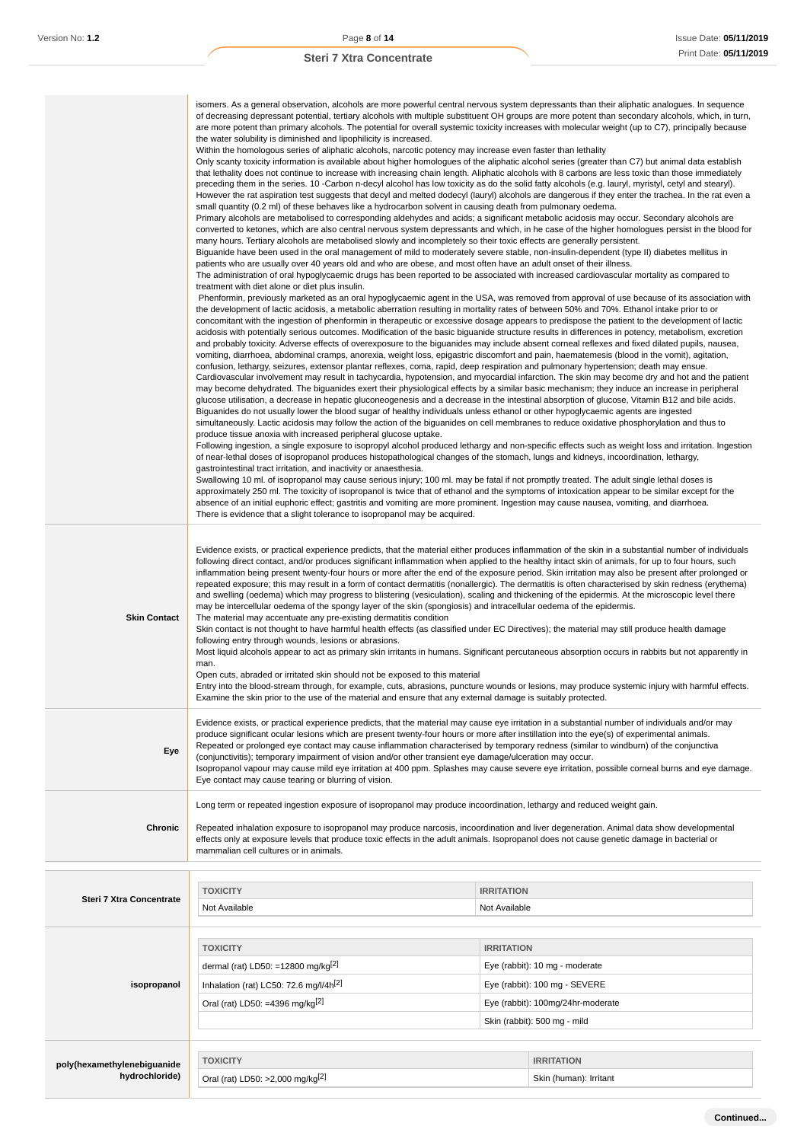|                                               | isomers. As a general observation, alcohols are more powerful central nervous system depressants than their aliphatic analogues. In sequence<br>of decreasing depressant potential, tertiary alcohols with multiple substituent OH groups are more potent than secondary alcohols, which, in turn,<br>are more potent than primary alcohols. The potential for overall systemic toxicity increases with molecular weight (up to C7), principally because<br>the water solubility is diminished and lipophilicity is increased.<br>Within the homologous series of aliphatic alcohols, narcotic potency may increase even faster than lethality<br>Only scanty toxicity information is available about higher homologues of the aliphatic alcohol series (greater than C7) but animal data establish<br>that lethality does not continue to increase with increasing chain length. Aliphatic alcohols with 8 carbons are less toxic than those immediately<br>preceding them in the series. 10 -Carbon n-decyl alcohol has low toxicity as do the solid fatty alcohols (e.g. lauryl, myristyl, cetyl and stearyl).<br>However the rat aspiration test suggests that decyl and melted dodecyl (lauryl) alcohols are dangerous if they enter the trachea. In the rat even a<br>small quantity (0.2 ml) of these behaves like a hydrocarbon solvent in causing death from pulmonary oedema.<br>Primary alcohols are metabolised to corresponding aldehydes and acids; a significant metabolic acidosis may occur. Secondary alcohols are<br>converted to ketones, which are also central nervous system depressants and which, in he case of the higher homologues persist in the blood for<br>many hours. Tertiary alcohols are metabolised slowly and incompletely so their toxic effects are generally persistent.<br>Biguanide have been used in the oral management of mild to moderately severe stable, non-insulin-dependent (type II) diabetes mellitus in<br>patients who are usually over 40 years old and who are obese, and most often have an adult onset of their illness.<br>The administration of oral hypoglycaemic drugs has been reported to be associated with increased cardiovascular mortality as compared to<br>treatment with diet alone or diet plus insulin.<br>Phenformin, previously marketed as an oral hypoglycaemic agent in the USA, was removed from approval of use because of its association with<br>the development of lactic acidosis, a metabolic aberration resulting in mortality rates of between 50% and 70%. Ethanol intake prior to or<br>concomitant with the ingestion of phenformin in therapeutic or excessive dosage appears to predispose the patient to the development of lactic<br>acidosis with potentially serious outcomes. Modification of the basic biguanide structure results in differences in potency, metabolism, excretion<br>and probably toxicity. Adverse effects of overexposure to the biguanides may include absent corneal reflexes and fixed dilated pupils, nausea,<br>vomiting, diarrhoea, abdominal cramps, anorexia, weight loss, epigastric discomfort and pain, haematemesis (blood in the vomit), agitation,<br>confusion, lethargy, seizures, extensor plantar reflexes, coma, rapid, deep respiration and pulmonary hypertension; death may ensue.<br>Cardiovascular involvement may result in tachycardia, hypotension, and myocardial infarction. The skin may become dry and hot and the patient<br>may become dehydrated. The biguanides exert their physiological effects by a similar basic mechanism; they induce an increase in peripheral<br>glucose utilisation, a decrease in hepatic gluconeogenesis and a decrease in the intestinal absorption of glucose, Vitamin B12 and bile acids.<br>Biguanides do not usually lower the blood sugar of healthy individuals unless ethanol or other hypoglycaemic agents are ingested<br>simultaneously. Lactic acidosis may follow the action of the biguanides on cell membranes to reduce oxidative phosphorylation and thus to<br>produce tissue anoxia with increased peripheral glucose uptake.<br>Following ingestion, a single exposure to isopropyl alcohol produced lethargy and non-specific effects such as weight loss and irritation. Ingestion<br>of near-lethal doses of isopropanol produces histopathological changes of the stomach, lungs and kidneys, incoordination, lethargy,<br>gastrointestinal tract irritation, and inactivity or anaesthesia.<br>Swallowing 10 ml. of isopropanol may cause serious injury; 100 ml. may be fatal if not promptly treated. The adult single lethal doses is<br>approximately 250 ml. The toxicity of isopropanol is twice that of ethanol and the symptoms of intoxication appear to be similar except for the<br>absence of an initial euphoric effect; gastritis and vomiting are more prominent. Ingestion may cause nausea, vomiting, and diarrhoea.<br>There is evidence that a slight tolerance to isopropanol may be acquired. |                   |                                   |
|-----------------------------------------------|------------------------------------------------------------------------------------------------------------------------------------------------------------------------------------------------------------------------------------------------------------------------------------------------------------------------------------------------------------------------------------------------------------------------------------------------------------------------------------------------------------------------------------------------------------------------------------------------------------------------------------------------------------------------------------------------------------------------------------------------------------------------------------------------------------------------------------------------------------------------------------------------------------------------------------------------------------------------------------------------------------------------------------------------------------------------------------------------------------------------------------------------------------------------------------------------------------------------------------------------------------------------------------------------------------------------------------------------------------------------------------------------------------------------------------------------------------------------------------------------------------------------------------------------------------------------------------------------------------------------------------------------------------------------------------------------------------------------------------------------------------------------------------------------------------------------------------------------------------------------------------------------------------------------------------------------------------------------------------------------------------------------------------------------------------------------------------------------------------------------------------------------------------------------------------------------------------------------------------------------------------------------------------------------------------------------------------------------------------------------------------------------------------------------------------------------------------------------------------------------------------------------------------------------------------------------------------------------------------------------------------------------------------------------------------------------------------------------------------------------------------------------------------------------------------------------------------------------------------------------------------------------------------------------------------------------------------------------------------------------------------------------------------------------------------------------------------------------------------------------------------------------------------------------------------------------------------------------------------------------------------------------------------------------------------------------------------------------------------------------------------------------------------------------------------------------------------------------------------------------------------------------------------------------------------------------------------------------------------------------------------------------------------------------------------------------------------------------------------------------------------------------------------------------------------------------------------------------------------------------------------------------------------------------------------------------------------------------------------------------------------------------------------------------------------------------------------------------------------------------------------------------------------------------------------------------------------------------------------------------------------------------------------------------------------------------------------------------------------------------------------------------------------------------------------------------------------------------------------------------------------------------------------------------------------------------------------------------------------------------------------------------------------------------------------------------------------------------------------------------------------------------------------------------------------------------------------------------------------------------------------------------------------------------------------------------------------------------------------------------------------------------------------|-------------------|-----------------------------------|
| <b>Skin Contact</b>                           | Evidence exists, or practical experience predicts, that the material either produces inflammation of the skin in a substantial number of individuals<br>following direct contact, and/or produces significant inflammation when applied to the healthy intact skin of animals, for up to four hours, such<br>inflammation being present twenty-four hours or more after the end of the exposure period. Skin irritation may also be present after prolonged or<br>repeated exposure; this may result in a form of contact dermatitis (nonallergic). The dermatitis is often characterised by skin redness (erythema)<br>and swelling (oedema) which may progress to blistering (vesiculation), scaling and thickening of the epidermis. At the microscopic level there<br>may be intercellular oedema of the spongy layer of the skin (spongiosis) and intracellular oedema of the epidermis.<br>The material may accentuate any pre-existing dermatitis condition<br>Skin contact is not thought to have harmful health effects (as classified under EC Directives); the material may still produce health damage<br>following entry through wounds, lesions or abrasions.<br>Most liquid alcohols appear to act as primary skin irritants in humans. Significant percutaneous absorption occurs in rabbits but not apparently in<br>man.<br>Open cuts, abraded or irritated skin should not be exposed to this material<br>Entry into the blood-stream through, for example, cuts, abrasions, puncture wounds or lesions, may produce systemic injury with harmful effects.<br>Examine the skin prior to the use of the material and ensure that any external damage is suitably protected.                                                                                                                                                                                                                                                                                                                                                                                                                                                                                                                                                                                                                                                                                                                                                                                                                                                                                                                                                                                                                                                                                                                                                                                                                                                                                                                                                                                                                                                                                                                                                                                                                                                                                                                                                                                                                                                                                                                                                                                                                                                                                                                                                                                                                                                                                                                                                                                                                                                                                                                                                                                                                                                                                                                                                                                                                                                                                                                                                                                                                                                                                                                                                                                                                                                                                                                                      |                   |                                   |
| Eye                                           | Evidence exists, or practical experience predicts, that the material may cause eye irritation in a substantial number of individuals and/or may<br>produce significant ocular lesions which are present twenty-four hours or more after instillation into the eye(s) of experimental animals.<br>Repeated or prolonged eye contact may cause inflammation characterised by temporary redness (similar to windburn) of the conjunctiva<br>(conjunctivitis); temporary impairment of vision and/or other transient eye damage/ulceration may occur.<br>Isopropanol vapour may cause mild eye irritation at 400 ppm. Splashes may cause severe eye irritation, possible corneal burns and eye damage.<br>Eye contact may cause tearing or blurring of vision.                                                                                                                                                                                                                                                                                                                                                                                                                                                                                                                                                                                                                                                                                                                                                                                                                                                                                                                                                                                                                                                                                                                                                                                                                                                                                                                                                                                                                                                                                                                                                                                                                                                                                                                                                                                                                                                                                                                                                                                                                                                                                                                                                                                                                                                                                                                                                                                                                                                                                                                                                                                                                                                                                                                                                                                                                                                                                                                                                                                                                                                                                                                                                                                                                                                                                                                                                                                                                                                                                                                                                                                                                                                                                                                                                                                                                                                                                                                                                                                                                                                                                                                                                                                                                                                                         |                   |                                   |
| Chronic                                       | Long term or repeated ingestion exposure of isopropanol may produce incoordination, lethargy and reduced weight gain.<br>Repeated inhalation exposure to isopropanol may produce narcosis, incoordination and liver degeneration. Animal data show developmental<br>effects only at exposure levels that produce toxic effects in the adult animals. Isopropanol does not cause genetic damage in bacterial or<br>mammalian cell cultures or in animals.                                                                                                                                                                                                                                                                                                                                                                                                                                                                                                                                                                                                                                                                                                                                                                                                                                                                                                                                                                                                                                                                                                                                                                                                                                                                                                                                                                                                                                                                                                                                                                                                                                                                                                                                                                                                                                                                                                                                                                                                                                                                                                                                                                                                                                                                                                                                                                                                                                                                                                                                                                                                                                                                                                                                                                                                                                                                                                                                                                                                                                                                                                                                                                                                                                                                                                                                                                                                                                                                                                                                                                                                                                                                                                                                                                                                                                                                                                                                                                                                                                                                                                                                                                                                                                                                                                                                                                                                                                                                                                                                                                           |                   |                                   |
|                                               | <b>TOXICITY</b>                                                                                                                                                                                                                                                                                                                                                                                                                                                                                                                                                                                                                                                                                                                                                                                                                                                                                                                                                                                                                                                                                                                                                                                                                                                                                                                                                                                                                                                                                                                                                                                                                                                                                                                                                                                                                                                                                                                                                                                                                                                                                                                                                                                                                                                                                                                                                                                                                                                                                                                                                                                                                                                                                                                                                                                                                                                                                                                                                                                                                                                                                                                                                                                                                                                                                                                                                                                                                                                                                                                                                                                                                                                                                                                                                                                                                                                                                                                                                                                                                                                                                                                                                                                                                                                                                                                                                                                                                                                                                                                                                                                                                                                                                                                                                                                                                                                                                                                                                                                                                    | <b>IRRITATION</b> |                                   |
| Steri 7 Xtra Concentrate                      | Not Available                                                                                                                                                                                                                                                                                                                                                                                                                                                                                                                                                                                                                                                                                                                                                                                                                                                                                                                                                                                                                                                                                                                                                                                                                                                                                                                                                                                                                                                                                                                                                                                                                                                                                                                                                                                                                                                                                                                                                                                                                                                                                                                                                                                                                                                                                                                                                                                                                                                                                                                                                                                                                                                                                                                                                                                                                                                                                                                                                                                                                                                                                                                                                                                                                                                                                                                                                                                                                                                                                                                                                                                                                                                                                                                                                                                                                                                                                                                                                                                                                                                                                                                                                                                                                                                                                                                                                                                                                                                                                                                                                                                                                                                                                                                                                                                                                                                                                                                                                                                                                      | Not Available     |                                   |
|                                               |                                                                                                                                                                                                                                                                                                                                                                                                                                                                                                                                                                                                                                                                                                                                                                                                                                                                                                                                                                                                                                                                                                                                                                                                                                                                                                                                                                                                                                                                                                                                                                                                                                                                                                                                                                                                                                                                                                                                                                                                                                                                                                                                                                                                                                                                                                                                                                                                                                                                                                                                                                                                                                                                                                                                                                                                                                                                                                                                                                                                                                                                                                                                                                                                                                                                                                                                                                                                                                                                                                                                                                                                                                                                                                                                                                                                                                                                                                                                                                                                                                                                                                                                                                                                                                                                                                                                                                                                                                                                                                                                                                                                                                                                                                                                                                                                                                                                                                                                                                                                                                    |                   |                                   |
|                                               | <b>TOXICITY</b>                                                                                                                                                                                                                                                                                                                                                                                                                                                                                                                                                                                                                                                                                                                                                                                                                                                                                                                                                                                                                                                                                                                                                                                                                                                                                                                                                                                                                                                                                                                                                                                                                                                                                                                                                                                                                                                                                                                                                                                                                                                                                                                                                                                                                                                                                                                                                                                                                                                                                                                                                                                                                                                                                                                                                                                                                                                                                                                                                                                                                                                                                                                                                                                                                                                                                                                                                                                                                                                                                                                                                                                                                                                                                                                                                                                                                                                                                                                                                                                                                                                                                                                                                                                                                                                                                                                                                                                                                                                                                                                                                                                                                                                                                                                                                                                                                                                                                                                                                                                                                    | <b>IRRITATION</b> |                                   |
|                                               | dermal (rat) LD50: =12800 mg/kg $^{[2]}$                                                                                                                                                                                                                                                                                                                                                                                                                                                                                                                                                                                                                                                                                                                                                                                                                                                                                                                                                                                                                                                                                                                                                                                                                                                                                                                                                                                                                                                                                                                                                                                                                                                                                                                                                                                                                                                                                                                                                                                                                                                                                                                                                                                                                                                                                                                                                                                                                                                                                                                                                                                                                                                                                                                                                                                                                                                                                                                                                                                                                                                                                                                                                                                                                                                                                                                                                                                                                                                                                                                                                                                                                                                                                                                                                                                                                                                                                                                                                                                                                                                                                                                                                                                                                                                                                                                                                                                                                                                                                                                                                                                                                                                                                                                                                                                                                                                                                                                                                                                           |                   | Eye (rabbit): 10 mg - moderate    |
| isopropanol                                   | Inhalation (rat) LC50: 72.6 mg/l/4h <sup>[2]</sup>                                                                                                                                                                                                                                                                                                                                                                                                                                                                                                                                                                                                                                                                                                                                                                                                                                                                                                                                                                                                                                                                                                                                                                                                                                                                                                                                                                                                                                                                                                                                                                                                                                                                                                                                                                                                                                                                                                                                                                                                                                                                                                                                                                                                                                                                                                                                                                                                                                                                                                                                                                                                                                                                                                                                                                                                                                                                                                                                                                                                                                                                                                                                                                                                                                                                                                                                                                                                                                                                                                                                                                                                                                                                                                                                                                                                                                                                                                                                                                                                                                                                                                                                                                                                                                                                                                                                                                                                                                                                                                                                                                                                                                                                                                                                                                                                                                                                                                                                                                                 |                   | Eye (rabbit): 100 mg - SEVERE     |
|                                               | Oral (rat) LD50: =4396 mg/kg $[2]$                                                                                                                                                                                                                                                                                                                                                                                                                                                                                                                                                                                                                                                                                                                                                                                                                                                                                                                                                                                                                                                                                                                                                                                                                                                                                                                                                                                                                                                                                                                                                                                                                                                                                                                                                                                                                                                                                                                                                                                                                                                                                                                                                                                                                                                                                                                                                                                                                                                                                                                                                                                                                                                                                                                                                                                                                                                                                                                                                                                                                                                                                                                                                                                                                                                                                                                                                                                                                                                                                                                                                                                                                                                                                                                                                                                                                                                                                                                                                                                                                                                                                                                                                                                                                                                                                                                                                                                                                                                                                                                                                                                                                                                                                                                                                                                                                                                                                                                                                                                                 |                   | Eye (rabbit): 100mg/24hr-moderate |
|                                               |                                                                                                                                                                                                                                                                                                                                                                                                                                                                                                                                                                                                                                                                                                                                                                                                                                                                                                                                                                                                                                                                                                                                                                                                                                                                                                                                                                                                                                                                                                                                                                                                                                                                                                                                                                                                                                                                                                                                                                                                                                                                                                                                                                                                                                                                                                                                                                                                                                                                                                                                                                                                                                                                                                                                                                                                                                                                                                                                                                                                                                                                                                                                                                                                                                                                                                                                                                                                                                                                                                                                                                                                                                                                                                                                                                                                                                                                                                                                                                                                                                                                                                                                                                                                                                                                                                                                                                                                                                                                                                                                                                                                                                                                                                                                                                                                                                                                                                                                                                                                                                    |                   | Skin (rabbit): 500 mg - mild      |
|                                               |                                                                                                                                                                                                                                                                                                                                                                                                                                                                                                                                                                                                                                                                                                                                                                                                                                                                                                                                                                                                                                                                                                                                                                                                                                                                                                                                                                                                                                                                                                                                                                                                                                                                                                                                                                                                                                                                                                                                                                                                                                                                                                                                                                                                                                                                                                                                                                                                                                                                                                                                                                                                                                                                                                                                                                                                                                                                                                                                                                                                                                                                                                                                                                                                                                                                                                                                                                                                                                                                                                                                                                                                                                                                                                                                                                                                                                                                                                                                                                                                                                                                                                                                                                                                                                                                                                                                                                                                                                                                                                                                                                                                                                                                                                                                                                                                                                                                                                                                                                                                                                    |                   |                                   |
| poly(hexamethylenebiguanide<br>hydrochloride) | <b>TOXICITY</b>                                                                                                                                                                                                                                                                                                                                                                                                                                                                                                                                                                                                                                                                                                                                                                                                                                                                                                                                                                                                                                                                                                                                                                                                                                                                                                                                                                                                                                                                                                                                                                                                                                                                                                                                                                                                                                                                                                                                                                                                                                                                                                                                                                                                                                                                                                                                                                                                                                                                                                                                                                                                                                                                                                                                                                                                                                                                                                                                                                                                                                                                                                                                                                                                                                                                                                                                                                                                                                                                                                                                                                                                                                                                                                                                                                                                                                                                                                                                                                                                                                                                                                                                                                                                                                                                                                                                                                                                                                                                                                                                                                                                                                                                                                                                                                                                                                                                                                                                                                                                                    |                   | <b>IRRITATION</b>                 |
|                                               | Oral (rat) LD50: >2,000 mg/kg <sup>[2]</sup>                                                                                                                                                                                                                                                                                                                                                                                                                                                                                                                                                                                                                                                                                                                                                                                                                                                                                                                                                                                                                                                                                                                                                                                                                                                                                                                                                                                                                                                                                                                                                                                                                                                                                                                                                                                                                                                                                                                                                                                                                                                                                                                                                                                                                                                                                                                                                                                                                                                                                                                                                                                                                                                                                                                                                                                                                                                                                                                                                                                                                                                                                                                                                                                                                                                                                                                                                                                                                                                                                                                                                                                                                                                                                                                                                                                                                                                                                                                                                                                                                                                                                                                                                                                                                                                                                                                                                                                                                                                                                                                                                                                                                                                                                                                                                                                                                                                                                                                                                                                       |                   | Skin (human): Irritant            |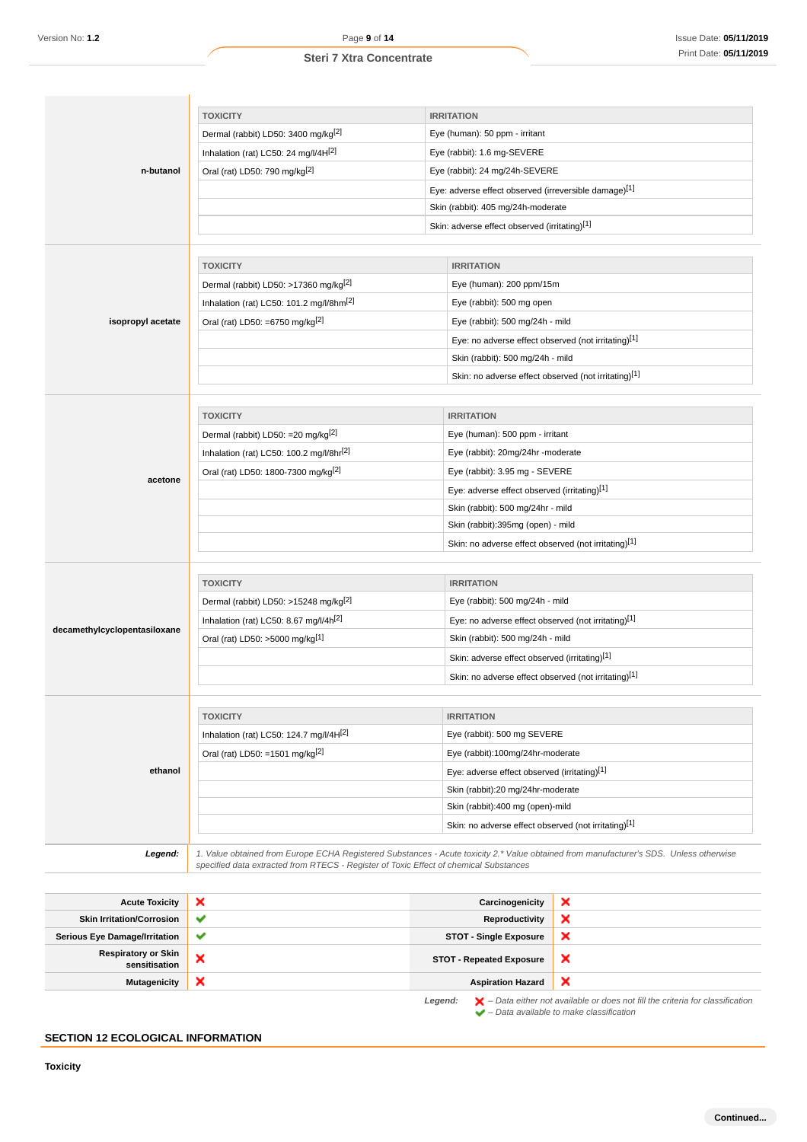| <b>Steri 7 Xtra Concentrate</b> |  |  |
|---------------------------------|--|--|
|---------------------------------|--|--|

|                              | <b>TOXICITY</b>                                                                       | <b>IRRITATION</b>                                                                                                                      |
|------------------------------|---------------------------------------------------------------------------------------|----------------------------------------------------------------------------------------------------------------------------------------|
|                              | Dermal (rabbit) LD50: 3400 mg/kg <sup>[2]</sup>                                       | Eye (human): 50 ppm - irritant                                                                                                         |
| n-butanol                    | Inhalation (rat) LC50: 24 mg/l/4H[2]                                                  | Eye (rabbit): 1.6 mg-SEVERE                                                                                                            |
|                              | Oral (rat) LD50: 790 mg/kg <sup>[2]</sup>                                             | Eye (rabbit): 24 mg/24h-SEVERE                                                                                                         |
|                              |                                                                                       | Eye: adverse effect observed (irreversible damage)[1]                                                                                  |
|                              |                                                                                       | Skin (rabbit): 405 mg/24h-moderate                                                                                                     |
|                              |                                                                                       | Skin: adverse effect observed (irritating)[1]                                                                                          |
|                              |                                                                                       |                                                                                                                                        |
|                              | <b>TOXICITY</b>                                                                       | <b>IRRITATION</b>                                                                                                                      |
|                              | Dermal (rabbit) LD50: >17360 mg/kg <sup>[2]</sup>                                     | Eye (human): 200 ppm/15m                                                                                                               |
|                              | Inhalation (rat) LC50: 101.2 mg/l/8hm <sup>[2]</sup>                                  | Eye (rabbit): 500 mg open                                                                                                              |
| isopropyl acetate            | Oral (rat) LD50: =6750 mg/kg <sup>[2]</sup>                                           | Eye (rabbit): 500 mg/24h - mild                                                                                                        |
|                              |                                                                                       | Eye: no adverse effect observed (not irritating)[1]                                                                                    |
|                              |                                                                                       | Skin (rabbit): 500 mg/24h - mild                                                                                                       |
|                              |                                                                                       | Skin: no adverse effect observed (not irritating)[1]                                                                                   |
|                              |                                                                                       |                                                                                                                                        |
|                              | <b>TOXICITY</b>                                                                       | <b>IRRITATION</b>                                                                                                                      |
|                              | Dermal (rabbit) LD50: =20 mg/kg <sup>[2]</sup>                                        | Eye (human): 500 ppm - irritant                                                                                                        |
|                              | Inhalation (rat) LC50: 100.2 mg/l/8hr[2]                                              | Eye (rabbit): 20mg/24hr -moderate                                                                                                      |
| acetone                      | Oral (rat) LD50: 1800-7300 mg/kg <sup>[2]</sup>                                       | Eye (rabbit): 3.95 mg - SEVERE                                                                                                         |
|                              |                                                                                       | Eye: adverse effect observed (irritating)[1]                                                                                           |
|                              |                                                                                       | Skin (rabbit): 500 mg/24hr - mild                                                                                                      |
|                              |                                                                                       | Skin (rabbit):395mg (open) - mild                                                                                                      |
|                              |                                                                                       | Skin: no adverse effect observed (not irritating)[1]                                                                                   |
|                              |                                                                                       |                                                                                                                                        |
|                              | <b>TOXICITY</b>                                                                       | <b>IRRITATION</b>                                                                                                                      |
|                              | Dermal (rabbit) LD50: >15248 mg/kg <sup>[2]</sup>                                     | Eye (rabbit): 500 mg/24h - mild                                                                                                        |
| decamethylcyclopentasiloxane | Inhalation (rat) LC50: 8.67 mg/l/4h <sup>[2]</sup>                                    | Eye: no adverse effect observed (not irritating)[1]                                                                                    |
|                              | Oral (rat) LD50: >5000 mg/kg[1]                                                       | Skin (rabbit): 500 mg/24h - mild                                                                                                       |
|                              |                                                                                       | Skin: adverse effect observed (irritating)[1]                                                                                          |
|                              |                                                                                       | Skin: no adverse effect observed (not irritating)[1]                                                                                   |
|                              |                                                                                       |                                                                                                                                        |
|                              | <b>TOXICITY</b>                                                                       | <b>IRRITATION</b>                                                                                                                      |
|                              | Inhalation (rat) LC50: 124.7 mg/l/4H[2]                                               | Eye (rabbit): 500 mg SEVERE                                                                                                            |
|                              | Oral (rat) LD50: =1501 mg/kg <sup>[2]</sup>                                           | Eye (rabbit):100mg/24hr-moderate                                                                                                       |
| ethanol                      |                                                                                       | Eye: adverse effect observed (irritating)[1]                                                                                           |
|                              |                                                                                       | Skin (rabbit):20 mg/24hr-moderate                                                                                                      |
|                              |                                                                                       | Skin (rabbit):400 mg (open)-mild                                                                                                       |
|                              |                                                                                       | Skin: no adverse effect observed (not irritating)[1]                                                                                   |
| Legend:                      | specified data extracted from RTECS - Register of Toxic Effect of chemical Substances | 1. Value obtained from Europe ECHA Registered Substances - Acute toxicity 2.* Value obtained from manufacturer's SDS. Unless otherwise |

| <b>Acute Toxicity</b>                       | ×            | Carcinogenicity                 | ×                                                                                                                                                                   |
|---------------------------------------------|--------------|---------------------------------|---------------------------------------------------------------------------------------------------------------------------------------------------------------------|
| <b>Skin Irritation/Corrosion</b>            | $\checkmark$ | Reproductivity                  | ×                                                                                                                                                                   |
| <b>Serious Eye Damage/Irritation</b>        | $\checkmark$ | <b>STOT - Single Exposure</b>   | ×                                                                                                                                                                   |
| <b>Respiratory or Skin</b><br>sensitisation | ×            | <b>STOT - Repeated Exposure</b> | ×                                                                                                                                                                   |
| Mutagenicity                                | ×            | <b>Aspiration Hazard</b>        | ×                                                                                                                                                                   |
|                                             |              | Legend:                         | $\blacktriangleright$ - Data either not available or does not fill the criteria for classification<br>$\blacktriangleright$ - Data available to make classification |

# **SECTION 12 ECOLOGICAL INFORMATION**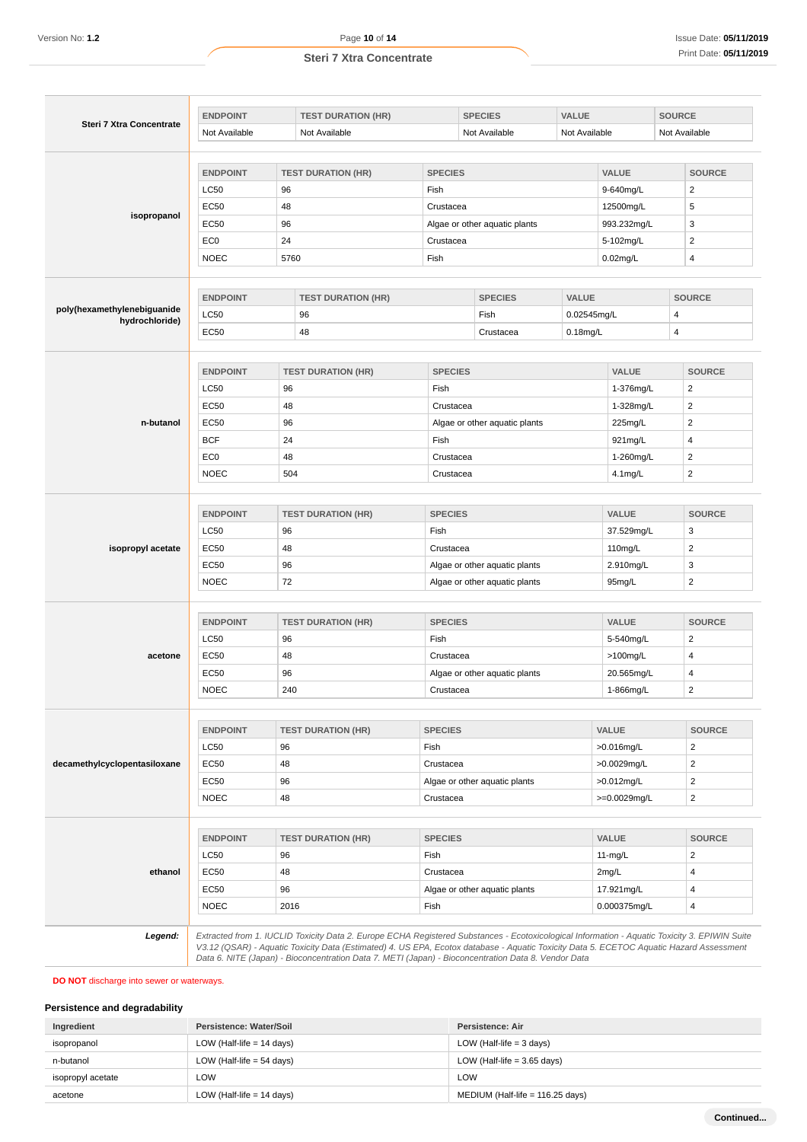|  |  |  | Steri 7 Xtra Concentrate |
|--|--|--|--------------------------|
|--|--|--|--------------------------|

| Not Available<br><b>ENDPOINT</b><br>LC50<br><b>EC50</b><br><b>EC50</b><br>EC <sub>0</sub><br><b>NOEC</b><br><b>ENDPOINT</b><br><b>LC50</b><br><b>EC50</b><br><b>ENDPOINT</b><br><b>LC50</b><br><b>EC50</b> | Not Available<br><b>TEST DURATION (HR)</b><br>96<br>48<br>96<br>24<br>5760<br><b>TEST DURATION (HR)</b><br>96<br>48<br><b>TEST DURATION (HR)</b> | <b>SPECIES</b><br>Fish<br>Crustacea<br>Crustacea<br>Fish                                                                                                                                                                                                | Not Available<br>Algae or other aquatic plants<br><b>SPECIES</b><br>Fish | Not Available<br>VALUE<br>0.02545mg/L                                                                                                                                                                                 | <b>VALUE</b><br>9-640mg/L<br>12500mg/L<br>993.232mg/L<br>5-102mg/L<br>$0.02$ mg/L | Not Available<br><b>SOURCE</b><br>$\overline{c}$<br>5<br>3<br>2<br>4<br><b>SOURCE</b>                                                                                                                                                               |
|------------------------------------------------------------------------------------------------------------------------------------------------------------------------------------------------------------|--------------------------------------------------------------------------------------------------------------------------------------------------|---------------------------------------------------------------------------------------------------------------------------------------------------------------------------------------------------------------------------------------------------------|--------------------------------------------------------------------------|-----------------------------------------------------------------------------------------------------------------------------------------------------------------------------------------------------------------------|-----------------------------------------------------------------------------------|-----------------------------------------------------------------------------------------------------------------------------------------------------------------------------------------------------------------------------------------------------|
|                                                                                                                                                                                                            |                                                                                                                                                  |                                                                                                                                                                                                                                                         |                                                                          |                                                                                                                                                                                                                       |                                                                                   |                                                                                                                                                                                                                                                     |
|                                                                                                                                                                                                            |                                                                                                                                                  |                                                                                                                                                                                                                                                         |                                                                          |                                                                                                                                                                                                                       |                                                                                   |                                                                                                                                                                                                                                                     |
|                                                                                                                                                                                                            |                                                                                                                                                  |                                                                                                                                                                                                                                                         |                                                                          |                                                                                                                                                                                                                       |                                                                                   |                                                                                                                                                                                                                                                     |
|                                                                                                                                                                                                            |                                                                                                                                                  |                                                                                                                                                                                                                                                         |                                                                          |                                                                                                                                                                                                                       |                                                                                   |                                                                                                                                                                                                                                                     |
|                                                                                                                                                                                                            |                                                                                                                                                  |                                                                                                                                                                                                                                                         |                                                                          |                                                                                                                                                                                                                       |                                                                                   |                                                                                                                                                                                                                                                     |
|                                                                                                                                                                                                            |                                                                                                                                                  |                                                                                                                                                                                                                                                         |                                                                          |                                                                                                                                                                                                                       |                                                                                   |                                                                                                                                                                                                                                                     |
|                                                                                                                                                                                                            |                                                                                                                                                  |                                                                                                                                                                                                                                                         |                                                                          |                                                                                                                                                                                                                       |                                                                                   |                                                                                                                                                                                                                                                     |
|                                                                                                                                                                                                            |                                                                                                                                                  |                                                                                                                                                                                                                                                         |                                                                          |                                                                                                                                                                                                                       |                                                                                   |                                                                                                                                                                                                                                                     |
|                                                                                                                                                                                                            |                                                                                                                                                  |                                                                                                                                                                                                                                                         |                                                                          |                                                                                                                                                                                                                       |                                                                                   |                                                                                                                                                                                                                                                     |
|                                                                                                                                                                                                            |                                                                                                                                                  |                                                                                                                                                                                                                                                         |                                                                          |                                                                                                                                                                                                                       |                                                                                   |                                                                                                                                                                                                                                                     |
|                                                                                                                                                                                                            |                                                                                                                                                  |                                                                                                                                                                                                                                                         |                                                                          |                                                                                                                                                                                                                       |                                                                                   | 4                                                                                                                                                                                                                                                   |
|                                                                                                                                                                                                            |                                                                                                                                                  |                                                                                                                                                                                                                                                         | Crustacea                                                                | $0.18$ mg/L                                                                                                                                                                                                           |                                                                                   | 4                                                                                                                                                                                                                                                   |
|                                                                                                                                                                                                            |                                                                                                                                                  |                                                                                                                                                                                                                                                         |                                                                          |                                                                                                                                                                                                                       |                                                                                   |                                                                                                                                                                                                                                                     |
|                                                                                                                                                                                                            |                                                                                                                                                  | <b>SPECIES</b>                                                                                                                                                                                                                                          |                                                                          |                                                                                                                                                                                                                       | VALUE                                                                             | <b>SOURCE</b>                                                                                                                                                                                                                                       |
|                                                                                                                                                                                                            | 96                                                                                                                                               | Fish                                                                                                                                                                                                                                                    |                                                                          |                                                                                                                                                                                                                       | 1-376mg/L                                                                         | 2                                                                                                                                                                                                                                                   |
|                                                                                                                                                                                                            | 48                                                                                                                                               | Crustacea                                                                                                                                                                                                                                               |                                                                          |                                                                                                                                                                                                                       | 1-328mg/L                                                                         | $\overline{2}$                                                                                                                                                                                                                                      |
| <b>EC50</b>                                                                                                                                                                                                | 96                                                                                                                                               |                                                                                                                                                                                                                                                         | Algae or other aquatic plants                                            |                                                                                                                                                                                                                       | 225mg/L                                                                           | $\overline{2}$                                                                                                                                                                                                                                      |
| <b>BCF</b>                                                                                                                                                                                                 | 24                                                                                                                                               | Fish                                                                                                                                                                                                                                                    |                                                                          |                                                                                                                                                                                                                       | 921mg/L                                                                           | 4                                                                                                                                                                                                                                                   |
| EC <sub>0</sub>                                                                                                                                                                                            |                                                                                                                                                  | Crustacea                                                                                                                                                                                                                                               |                                                                          |                                                                                                                                                                                                                       | 1-260mg/L                                                                         | $\overline{2}$                                                                                                                                                                                                                                      |
| <b>NOEC</b>                                                                                                                                                                                                | 504                                                                                                                                              |                                                                                                                                                                                                                                                         |                                                                          |                                                                                                                                                                                                                       | $4.1$ mg/L                                                                        | $\overline{c}$                                                                                                                                                                                                                                      |
|                                                                                                                                                                                                            |                                                                                                                                                  |                                                                                                                                                                                                                                                         |                                                                          |                                                                                                                                                                                                                       |                                                                                   |                                                                                                                                                                                                                                                     |
|                                                                                                                                                                                                            |                                                                                                                                                  |                                                                                                                                                                                                                                                         |                                                                          |                                                                                                                                                                                                                       |                                                                                   | <b>SOURCE</b>                                                                                                                                                                                                                                       |
|                                                                                                                                                                                                            |                                                                                                                                                  |                                                                                                                                                                                                                                                         |                                                                          |                                                                                                                                                                                                                       |                                                                                   | 3                                                                                                                                                                                                                                                   |
|                                                                                                                                                                                                            |                                                                                                                                                  |                                                                                                                                                                                                                                                         |                                                                          |                                                                                                                                                                                                                       |                                                                                   | $\overline{\mathbf{c}}$                                                                                                                                                                                                                             |
|                                                                                                                                                                                                            |                                                                                                                                                  |                                                                                                                                                                                                                                                         |                                                                          |                                                                                                                                                                                                                       |                                                                                   | 3                                                                                                                                                                                                                                                   |
|                                                                                                                                                                                                            |                                                                                                                                                  |                                                                                                                                                                                                                                                         |                                                                          |                                                                                                                                                                                                                       |                                                                                   | $\overline{2}$                                                                                                                                                                                                                                      |
|                                                                                                                                                                                                            |                                                                                                                                                  |                                                                                                                                                                                                                                                         |                                                                          |                                                                                                                                                                                                                       |                                                                                   | <b>SOURCE</b>                                                                                                                                                                                                                                       |
|                                                                                                                                                                                                            |                                                                                                                                                  |                                                                                                                                                                                                                                                         |                                                                          |                                                                                                                                                                                                                       |                                                                                   | $\overline{2}$                                                                                                                                                                                                                                      |
|                                                                                                                                                                                                            |                                                                                                                                                  |                                                                                                                                                                                                                                                         |                                                                          |                                                                                                                                                                                                                       |                                                                                   | 4                                                                                                                                                                                                                                                   |
|                                                                                                                                                                                                            |                                                                                                                                                  |                                                                                                                                                                                                                                                         |                                                                          |                                                                                                                                                                                                                       |                                                                                   | 4                                                                                                                                                                                                                                                   |
| <b>NOEC</b>                                                                                                                                                                                                | 240                                                                                                                                              |                                                                                                                                                                                                                                                         |                                                                          |                                                                                                                                                                                                                       |                                                                                   | $\overline{2}$                                                                                                                                                                                                                                      |
|                                                                                                                                                                                                            |                                                                                                                                                  |                                                                                                                                                                                                                                                         |                                                                          |                                                                                                                                                                                                                       |                                                                                   |                                                                                                                                                                                                                                                     |
| <b>ENDPOINT</b>                                                                                                                                                                                            | <b>TEST DURATION (HR)</b>                                                                                                                        | <b>SPECIES</b>                                                                                                                                                                                                                                          |                                                                          |                                                                                                                                                                                                                       |                                                                                   | <b>SOURCE</b>                                                                                                                                                                                                                                       |
| LC50                                                                                                                                                                                                       | 96                                                                                                                                               | Fish                                                                                                                                                                                                                                                    |                                                                          |                                                                                                                                                                                                                       |                                                                                   | $\overline{c}$                                                                                                                                                                                                                                      |
| EC50                                                                                                                                                                                                       | 48                                                                                                                                               | Crustacea                                                                                                                                                                                                                                               |                                                                          |                                                                                                                                                                                                                       |                                                                                   | $\sqrt{2}$                                                                                                                                                                                                                                          |
| EC50                                                                                                                                                                                                       | 96                                                                                                                                               |                                                                                                                                                                                                                                                         |                                                                          |                                                                                                                                                                                                                       |                                                                                   | $\sqrt{2}$                                                                                                                                                                                                                                          |
| <b>NOEC</b>                                                                                                                                                                                                | 48                                                                                                                                               | Crustacea                                                                                                                                                                                                                                               |                                                                          |                                                                                                                                                                                                                       |                                                                                   | $\overline{2}$                                                                                                                                                                                                                                      |
|                                                                                                                                                                                                            |                                                                                                                                                  |                                                                                                                                                                                                                                                         |                                                                          |                                                                                                                                                                                                                       |                                                                                   |                                                                                                                                                                                                                                                     |
| <b>ENDPOINT</b>                                                                                                                                                                                            | <b>TEST DURATION (HR)</b>                                                                                                                        | <b>SPECIES</b>                                                                                                                                                                                                                                          |                                                                          |                                                                                                                                                                                                                       |                                                                                   | <b>SOURCE</b>                                                                                                                                                                                                                                       |
| LC50                                                                                                                                                                                                       | 96                                                                                                                                               | Fish                                                                                                                                                                                                                                                    |                                                                          |                                                                                                                                                                                                                       |                                                                                   | $\overline{2}$                                                                                                                                                                                                                                      |
| EC50                                                                                                                                                                                                       | 48                                                                                                                                               | Crustacea                                                                                                                                                                                                                                               |                                                                          |                                                                                                                                                                                                                       |                                                                                   | $\overline{4}$                                                                                                                                                                                                                                      |
| EC50                                                                                                                                                                                                       | 96                                                                                                                                               |                                                                                                                                                                                                                                                         |                                                                          |                                                                                                                                                                                                                       |                                                                                   | 4                                                                                                                                                                                                                                                   |
| <b>NOEC</b>                                                                                                                                                                                                | 2016                                                                                                                                             | Fish                                                                                                                                                                                                                                                    |                                                                          |                                                                                                                                                                                                                       |                                                                                   | 4                                                                                                                                                                                                                                                   |
| V3.12 (QSAR) - Aquatic Toxicity Data (Estimated) 4. US EPA, Ecotox database - Aquatic Toxicity Data 5. ECETOC Aquatic Hazard Assessment                                                                    | <b>ENDPOINT</b><br>LC50<br>EC50<br><b>EC50</b><br><b>NOEC</b><br><b>ENDPOINT</b><br><b>LC50</b><br><b>EC50</b><br><b>EC50</b>                    | 48<br><b>TEST DURATION (HR)</b><br>96<br>48<br>96<br>72<br><b>TEST DURATION (HR)</b><br>96<br>48<br>96<br>Extracted from 1. IUCLID Toxicity Data 2. Europe ECHA Registered Substances - Ecotoxicological Information - Aquatic Toxicity 3. EPIWIN Suite | <b>SPECIES</b><br>Fish<br><b>SPECIES</b><br>Fish                         | Crustacea<br>Crustacea<br>Algae or other aquatic plants<br>Algae or other aquatic plants<br>Crustacea<br>Algae or other aquatic plants<br>Crustacea<br>Algae or other aquatic plants<br>Algae or other aquatic plants |                                                                                   | VALUE<br>37.529mg/L<br>110mg/L<br>2.910mg/L<br>95mg/L<br>VALUE<br>5-540mg/L<br>>100mg/L<br>20.565mg/L<br>1-866mg/L<br>VALUE<br>>0.016mg/L<br>>0.0029mg/L<br>>0.012mg/L<br>>=0.0029mg/L<br>VALUE<br>$11-mg/L$<br>2mg/L<br>17.921mg/L<br>0.000375mg/L |

**DO NOT** discharge into sewer or waterways.

# **Persistence and degradability**

| Ingredient        | Persistence: Water/Soil     | Persistence: Air                 |
|-------------------|-----------------------------|----------------------------------|
| isopropanol       | LOW (Half-life $= 14$ days) | LOW (Half-life $=$ 3 days)       |
| n-butanol         | LOW (Half-life $=$ 54 days) | LOW (Half-life $=$ 3.65 days)    |
| isopropyl acetate | LOW                         | LOW                              |
| acetone           | LOW (Half-life $= 14$ days) | MEDIUM (Half-life = 116.25 days) |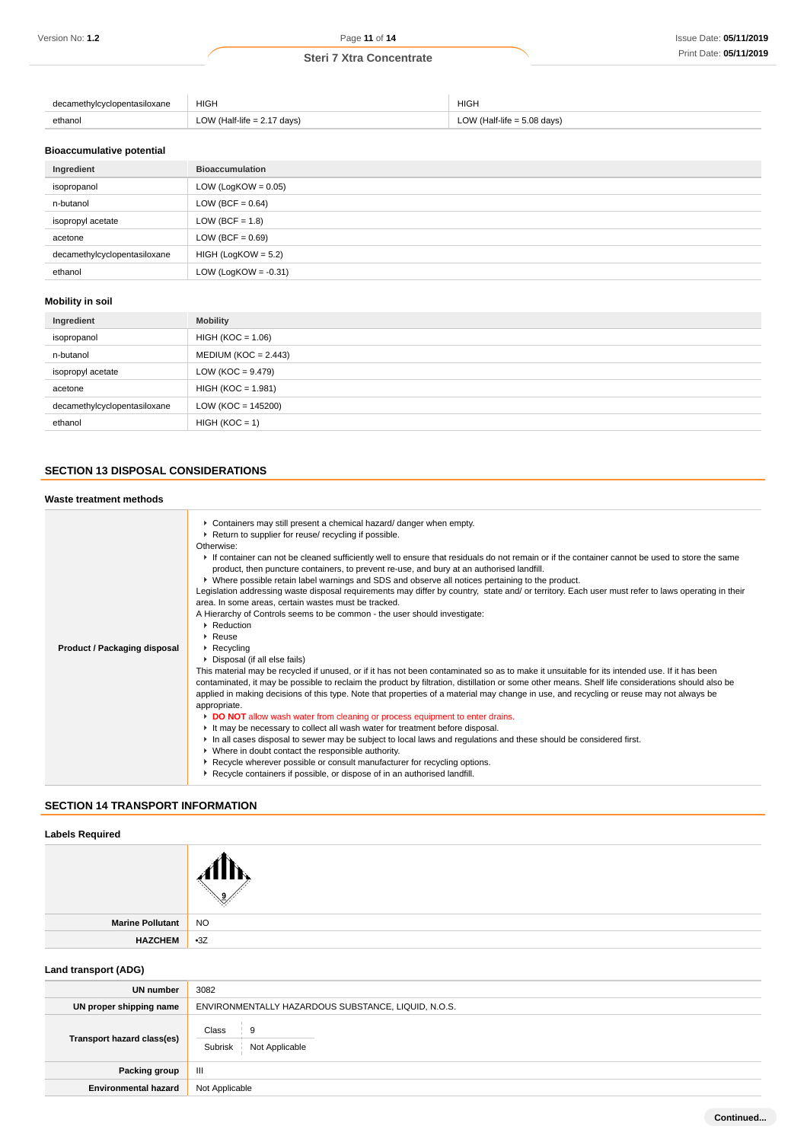| ivicvclopentasiloxane<br>۵۵<br>. | <b>HIGH</b>  | <b>HIGH</b>               |
|----------------------------------|--------------|---------------------------|
| ethanol<br>.                     | LOV<br>days) | $(Half-life = 5.08 days)$ |

# **Bioaccumulative potential**

| Ingredient                   | <b>Bioaccumulation</b>  |
|------------------------------|-------------------------|
| isopropanol                  | LOW (LogKOW = $0.05$ )  |
| n-butanol                    | LOW (BCF = $0.64$ )     |
| isopropyl acetate            | LOW (BCF = $1.8$ )      |
| acetone                      | LOW (BCF = $0.69$ )     |
| decamethylcyclopentasiloxane | $HIGH (LogKOW = 5.2)$   |
| ethanol                      | LOW (LogKOW = $-0.31$ ) |

## **Mobility in soil**

| Ingredient                   | <b>Mobility</b>        |  |  |
|------------------------------|------------------------|--|--|
| isopropanol                  | $HIGH (KOC = 1.06)$    |  |  |
| n-butanol                    | $MEDIUM (KOC = 2.443)$ |  |  |
| isopropyl acetate            | $LOW (KOC = 9.479)$    |  |  |
| acetone                      | $HIGH (KOC = 1.981)$   |  |  |
| decamethylcyclopentasiloxane | $LOW (KOC = 145200)$   |  |  |
| ethanol                      | $HIGH (KOC = 1)$       |  |  |

# **SECTION 13 DISPOSAL CONSIDERATIONS**

# **Waste treatment methods**

| Product / Packaging disposal | • Containers may still present a chemical hazard/ danger when empty.<br>▶ Return to supplier for reuse/ recycling if possible.<br>Otherwise:<br>If container can not be cleaned sufficiently well to ensure that residuals do not remain or if the container cannot be used to store the same<br>product, then puncture containers, to prevent re-use, and bury at an authorised landfill.<br>► Where possible retain label warnings and SDS and observe all notices pertaining to the product.<br>Legislation addressing waste disposal requirements may differ by country, state and/ or territory. Each user must refer to laws operating in their<br>area. In some areas, certain wastes must be tracked.<br>A Hierarchy of Controls seems to be common - the user should investigate:<br>▶ Reduction<br>$\blacktriangleright$ Reuse<br>$\blacktriangleright$ Recycling<br>▶ Disposal (if all else fails)<br>This material may be recycled if unused, or if it has not been contaminated so as to make it unsuitable for its intended use. If it has been<br>contaminated, it may be possible to reclaim the product by filtration, distillation or some other means. Shelf life considerations should also be<br>applied in making decisions of this type. Note that properties of a material may change in use, and recycling or reuse may not always be<br>appropriate.<br>DO NOT allow wash water from cleaning or process equipment to enter drains.<br>If It may be necessary to collect all wash water for treatment before disposal.<br>In all cases disposal to sewer may be subject to local laws and regulations and these should be considered first.<br>• Where in doubt contact the responsible authority.<br>▶ Recycle wherever possible or consult manufacturer for recycling options. |
|------------------------------|------------------------------------------------------------------------------------------------------------------------------------------------------------------------------------------------------------------------------------------------------------------------------------------------------------------------------------------------------------------------------------------------------------------------------------------------------------------------------------------------------------------------------------------------------------------------------------------------------------------------------------------------------------------------------------------------------------------------------------------------------------------------------------------------------------------------------------------------------------------------------------------------------------------------------------------------------------------------------------------------------------------------------------------------------------------------------------------------------------------------------------------------------------------------------------------------------------------------------------------------------------------------------------------------------------------------------------------------------------------------------------------------------------------------------------------------------------------------------------------------------------------------------------------------------------------------------------------------------------------------------------------------------------------------------------------------------------------------------------------------------------------------------------------------------------|
|                              |                                                                                                                                                                                                                                                                                                                                                                                                                                                                                                                                                                                                                                                                                                                                                                                                                                                                                                                                                                                                                                                                                                                                                                                                                                                                                                                                                                                                                                                                                                                                                                                                                                                                                                                                                                                                            |
|                              | Recycle containers if possible, or dispose of in an authorised landfill.                                                                                                                                                                                                                                                                                                                                                                                                                                                                                                                                                                                                                                                                                                                                                                                                                                                                                                                                                                                                                                                                                                                                                                                                                                                                                                                                                                                                                                                                                                                                                                                                                                                                                                                                   |
|                              |                                                                                                                                                                                                                                                                                                                                                                                                                                                                                                                                                                                                                                                                                                                                                                                                                                                                                                                                                                                                                                                                                                                                                                                                                                                                                                                                                                                                                                                                                                                                                                                                                                                                                                                                                                                                            |

# **SECTION 14 TRANSPORT INFORMATION**

## **Labels Required**

| Marine Pollutant | <b>NO</b> |
|------------------|-----------|
| HAZCHEM 3Z       |           |
|                  |           |

# **Land transport (ADG)**

| UN number                   | 3082                                                |  |  |
|-----------------------------|-----------------------------------------------------|--|--|
| UN proper shipping name     | ENVIRONMENTALLY HAZARDOUS SUBSTANCE, LIQUID, N.O.S. |  |  |
| Transport hazard class(es)  | Class<br>9<br>Not Applicable<br>Subrisk             |  |  |
| Packing group               | Ш                                                   |  |  |
| <b>Environmental hazard</b> | Not Applicable                                      |  |  |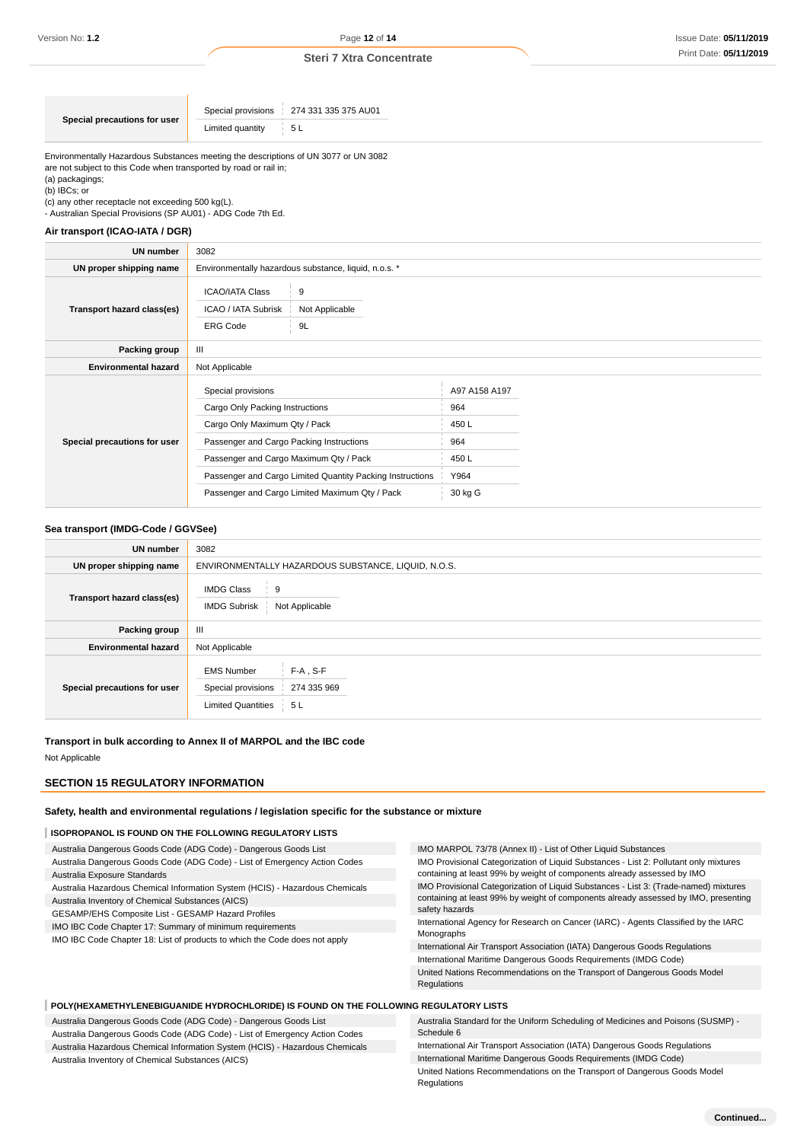Environmentally Hazardous Substances meeting the descriptions of UN 3077 or UN 3082 are not subject to this Code when transported by road or rail in; (a) packagings;

(b) IBCs; or

(c) any other receptacle not exceeding 500 kg(L).

- Australian Special Provisions (SP AU01) - ADG Code 7th Ed.

# **Air transport (ICAO-IATA / DGR)**

| UN number                    | 3082                                                                                                                                                                         |                                                                                                             |                                                                |  |
|------------------------------|------------------------------------------------------------------------------------------------------------------------------------------------------------------------------|-------------------------------------------------------------------------------------------------------------|----------------------------------------------------------------|--|
| UN proper shipping name      | Environmentally hazardous substance, liquid, n.o.s. *                                                                                                                        |                                                                                                             |                                                                |  |
| Transport hazard class(es)   | <b>ICAO/IATA Class</b><br>9<br>ICAO / IATA Subrisk<br>Not Applicable<br><b>ERG Code</b><br>9L                                                                                |                                                                                                             |                                                                |  |
| Packing group                | Ш                                                                                                                                                                            |                                                                                                             |                                                                |  |
| <b>Environmental hazard</b>  | Not Applicable                                                                                                                                                               |                                                                                                             |                                                                |  |
| Special precautions for user | Special provisions<br>Cargo Only Packing Instructions<br>Cargo Only Maximum Qty / Pack<br>Passenger and Cargo Packing Instructions<br>Passenger and Cargo Maximum Qty / Pack | Passenger and Cargo Limited Quantity Packing Instructions<br>Passenger and Cargo Limited Maximum Qty / Pack | A97 A158 A197<br>964<br>450L<br>964<br>450L<br>Y964<br>30 kg G |  |

#### **Sea transport (IMDG-Code / GGVSee)**

| UN number                    | 3082                                                                                                      |  |  |  |
|------------------------------|-----------------------------------------------------------------------------------------------------------|--|--|--|
| UN proper shipping name      | ENVIRONMENTALLY HAZARDOUS SUBSTANCE, LIQUID, N.O.S.                                                       |  |  |  |
| Transport hazard class(es)   | <b>IMDG Class</b><br>9<br><b>IMDG Subrisk</b><br>Not Applicable                                           |  |  |  |
| Packing group                | Ш                                                                                                         |  |  |  |
| <b>Environmental hazard</b>  | Not Applicable                                                                                            |  |  |  |
| Special precautions for user | $F-A$ , S-F<br><b>EMS Number</b><br>Special provisions<br>274 335 969<br><b>Limited Quantities</b><br>5 L |  |  |  |

**Transport in bulk according to Annex II of MARPOL and the IBC code**

Not Applicable

#### **SECTION 15 REGULATORY INFORMATION**

#### **Safety, health and environmental regulations / legislation specific for the substance or mixture**

#### **ISOPROPANOL IS FOUND ON THE FOLLOWING REGULATORY LISTS**

Australia Dangerous Goods Code (ADG Code) - Dangerous Goods List Australia Dangerous Goods Code (ADG Code) - List of Emergency Action Codes Australia Exposure Standards

Australia Hazardous Chemical Information System (HCIS) - Hazardous Chemicals

Australia Inventory of Chemical Substances (AICS)

GESAMP/EHS Composite List - GESAMP Hazard Profiles

IMO IBC Code Chapter 17: Summary of minimum requirements

IMO IBC Code Chapter 18: List of products to which the Code does not apply

#### IMO MARPOL 73/78 (Annex II) - List of Other Liquid Substances IMO Provisional Categorization of Liquid Substances - List 2: Pollutant only mixtures containing at least 99% by weight of components already assessed by IMO IMO Provisional Categorization of Liquid Substances - List 3: (Trade-named) mixtures containing at least 99% by weight of components already assessed by IMO, presenting safety hazards International Agency for Research on Cancer (IARC) - Agents Classified by the IARC Monographs International Air Transport Association (IATA) Dangerous Goods Regulations International Maritime Dangerous Goods Requirements (IMDG Code)

United Nations Recommendations on the Transport of Dangerous Goods Model Regulations

#### **POLY(HEXAMETHYLENEBIGUANIDE HYDROCHLORIDE) IS FOUND ON THE FOLLOWING REGULATORY LISTS**

Australia Dangerous Goods Code (ADG Code) - Dangerous Goods List Australia Dangerous Goods Code (ADG Code) - List of Emergency Action Codes Australia Hazardous Chemical Information System (HCIS) - Hazardous Chemicals Australia Inventory of Chemical Substances (AICS) Australia Standard for the Uniform Scheduling of Medicines and Poisons (SUSMP) - Schedule 6 International Air Transport Association (IATA) Dangerous Goods Regulations International Maritime Dangerous Goods Requirements (IMDG Code)

United Nations Recommendations on the Transport of Dangerous Goods Model Regulations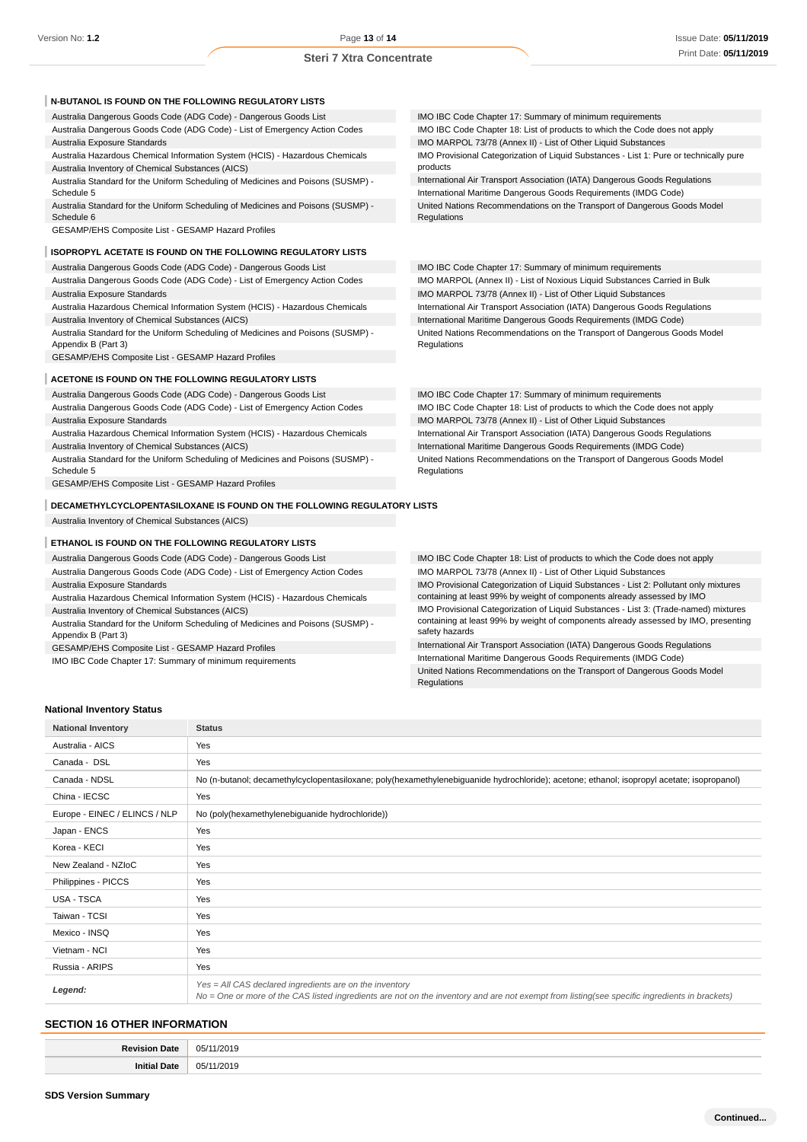| N-BUTANOL IS FOUND ON THE FOLLOWING REGULATORY LISTS                                                    |                                                                                         |
|---------------------------------------------------------------------------------------------------------|-----------------------------------------------------------------------------------------|
| Australia Dangerous Goods Code (ADG Code) - Dangerous Goods List                                        | IMO IBC Code Chapter 17: Summary of minimum requirements                                |
| Australia Dangerous Goods Code (ADG Code) - List of Emergency Action Codes                              | IMO IBC Code Chapter 18: List of products to which the Code does not apply              |
| Australia Exposure Standards                                                                            | IMO MARPOL 73/78 (Annex II) - List of Other Liquid Substances                           |
| Australia Hazardous Chemical Information System (HCIS) - Hazardous Chemicals                            | IMO Provisional Categorization of Liquid Substances - List 1: Pure or technically pure  |
| Australia Inventory of Chemical Substances (AICS)                                                       | products                                                                                |
| Australia Standard for the Uniform Scheduling of Medicines and Poisons (SUSMP) -                        | International Air Transport Association (IATA) Dangerous Goods Regulations              |
| Schedule 5                                                                                              | International Maritime Dangerous Goods Requirements (IMDG Code)                         |
| Australia Standard for the Uniform Scheduling of Medicines and Poisons (SUSMP) -<br>Schedule 6          | United Nations Recommendations on the Transport of Dangerous Goods Model<br>Regulations |
| GESAMP/EHS Composite List - GESAMP Hazard Profiles                                                      |                                                                                         |
|                                                                                                         |                                                                                         |
| <b>ISOPROPYL ACETATE IS FOUND ON THE FOLLOWING REGULATORY LISTS</b>                                     |                                                                                         |
| Australia Dangerous Goods Code (ADG Code) - Dangerous Goods List                                        | IMO IBC Code Chapter 17: Summary of minimum requirements                                |
| Australia Dangerous Goods Code (ADG Code) - List of Emergency Action Codes                              | IMO MARPOL (Annex II) - List of Noxious Liquid Substances Carried in Bulk               |
| Australia Exposure Standards                                                                            | IMO MARPOL 73/78 (Annex II) - List of Other Liquid Substances                           |
| Australia Hazardous Chemical Information System (HCIS) - Hazardous Chemicals                            | International Air Transport Association (IATA) Dangerous Goods Regulations              |
| Australia Inventory of Chemical Substances (AICS)                                                       | International Maritime Dangerous Goods Requirements (IMDG Code)                         |
| Australia Standard for the Uniform Scheduling of Medicines and Poisons (SUSMP) -<br>Appendix B (Part 3) | United Nations Recommendations on the Transport of Dangerous Goods Model<br>Regulations |
| GESAMP/EHS Composite List - GESAMP Hazard Profiles                                                      |                                                                                         |
| ACETONE IS FOUND ON THE FOLLOWING REGULATORY LISTS                                                      |                                                                                         |
|                                                                                                         |                                                                                         |
| Australia Dangerous Goods Code (ADG Code) - Dangerous Goods List                                        | IMO IBC Code Chapter 17: Summary of minimum requirements                                |
| Australia Dangerous Goods Code (ADG Code) - List of Emergency Action Codes                              | IMO IBC Code Chapter 18: List of products to which the Code does not apply              |
| Australia Exposure Standards                                                                            | IMO MARPOL 73/78 (Annex II) - List of Other Liquid Substances                           |
| Australia Hazardous Chemical Information System (HCIS) - Hazardous Chemicals                            | International Air Transport Association (IATA) Dangerous Goods Regulations              |
| Australia Inventory of Chemical Substances (AICS)                                                       | International Maritime Dangerous Goods Requirements (IMDG Code)                         |
| Australia Standard for the Uniform Scheduling of Medicines and Poisons (SUSMP) -<br>Schedule 5          | United Nations Recommendations on the Transport of Dangerous Goods Model<br>Regulations |
| GESAMP/EHS Composite List - GESAMP Hazard Profiles                                                      |                                                                                         |

**DECAMETHYLCYCLOPENTASILOXANE IS FOUND ON THE FOLLOWING REGULATORY LISTS**

Australia Inventory of Chemical Substances (AICS)

#### **ETHANOL IS FOUND ON THE FOLLOWING REGULATORY LISTS**

Australia Dangerous Goods Code (ADG Code) - Dangerous Goods List

Australia Dangerous Goods Code (ADG Code) - List of Emergency Action Codes Australia Exposure Standards

Australia Hazardous Chemical Information System (HCIS) - Hazardous Chemicals Australia Inventory of Chemical Substances (AICS)

Australia Standard for the Uniform Scheduling of Medicines and Poisons (SUSMP) - Appendix B (Part 3)

GESAMP/EHS Composite List - GESAMP Hazard Profiles

IMO IBC Code Chapter 17: Summary of minimum requirements

IMO IBC Code Chapter 18: List of products to which the Code does not apply IMO MARPOL 73/78 (Annex II) - List of Other Liquid Substances IMO Provisional Categorization of Liquid Substances - List 2: Pollutant only mixtures containing at least 99% by weight of components already assessed by IMO IMO Provisional Categorization of Liquid Substances - List 3: (Trade-named) mixtures containing at least 99% by weight of components already assessed by IMO, presenting

safety hazards International Air Transport Association (IATA) Dangerous Goods Regulations International Maritime Dangerous Goods Requirements (IMDG Code) United Nations Recommendations on the Transport of Dangerous Goods Model Regulations

#### **National Inventory Status**

| <b>National Inventory</b>     | <b>Status</b>                                                                                                                                                                                            |
|-------------------------------|----------------------------------------------------------------------------------------------------------------------------------------------------------------------------------------------------------|
| Australia - AICS              | Yes                                                                                                                                                                                                      |
| Canada - DSL                  | Yes                                                                                                                                                                                                      |
| Canada - NDSL                 | No (n-butanol; decamethylcyclopentasiloxane; poly(hexamethylenebiguanide hydrochloride); acetone; ethanol; isopropyl acetate; isopropanol)                                                               |
| China - IECSC                 | Yes                                                                                                                                                                                                      |
| Europe - EINEC / ELINCS / NLP | No (poly(hexamethylenebiguanide hydrochloride))                                                                                                                                                          |
| Japan - ENCS                  | Yes                                                                                                                                                                                                      |
| Korea - KECI                  | Yes                                                                                                                                                                                                      |
| New Zealand - NZIoC           | Yes                                                                                                                                                                                                      |
| Philippines - PICCS           | Yes                                                                                                                                                                                                      |
| <b>USA - TSCA</b>             | Yes                                                                                                                                                                                                      |
| Taiwan - TCSI                 | Yes                                                                                                                                                                                                      |
| Mexico - INSQ                 | Yes                                                                                                                                                                                                      |
| Vietnam - NCI                 | Yes                                                                                                                                                                                                      |
| Russia - ARIPS                | Yes                                                                                                                                                                                                      |
| Legend:                       | Yes = All CAS declared ingredients are on the inventory<br>No = One or more of the CAS listed ingredients are not on the inventory and are not exempt from listing(see specific ingredients in brackets) |

#### **SECTION 16 OTHER INFORMATION**

| Revision<br>Date          | 05/<br>1/201<br>.<br>- -     |
|---------------------------|------------------------------|
| <sup>1</sup> Date<br>Init | OF.<br>∍ הר<br>17ZU 1<br>,,, |